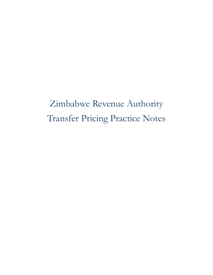Zimbabwe Revenue Authority Transfer Pricing Practice Notes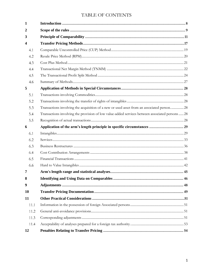# TABLE OF CONTENTS

| 1                       |                                                                                                 |  |
|-------------------------|-------------------------------------------------------------------------------------------------|--|
| 2                       |                                                                                                 |  |
| 3                       |                                                                                                 |  |
| $\overline{\mathbf{4}}$ |                                                                                                 |  |
| 4.1                     |                                                                                                 |  |
| 4.2                     |                                                                                                 |  |
| 4.3                     |                                                                                                 |  |
| 4.4                     |                                                                                                 |  |
| 4.5                     |                                                                                                 |  |
| 4.6                     |                                                                                                 |  |
| 5                       |                                                                                                 |  |
| 5.1                     |                                                                                                 |  |
| 5.2                     |                                                                                                 |  |
| 5.3                     | Transactions involving the acquisition of a new or used asset from an associated person 28      |  |
| 5.4                     | Transactions involving the provision of low value-added services between associated persons  28 |  |
| 5.5                     |                                                                                                 |  |
| 6                       | Application of the arm's length principle in specific circumstances  29                         |  |
| 6.1                     |                                                                                                 |  |
| 6.2                     |                                                                                                 |  |
| 6.3                     |                                                                                                 |  |
| 6.4                     |                                                                                                 |  |
| 6.5                     |                                                                                                 |  |
| 6.6                     |                                                                                                 |  |
| 7                       |                                                                                                 |  |
| 8                       |                                                                                                 |  |
| 9                       |                                                                                                 |  |
| 10                      |                                                                                                 |  |
| 11                      |                                                                                                 |  |
| 11.1                    |                                                                                                 |  |
| 11.2                    |                                                                                                 |  |
| 11.3                    |                                                                                                 |  |
| 11.4                    |                                                                                                 |  |
| 12                      |                                                                                                 |  |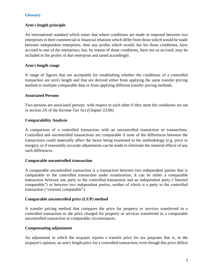## **Glossary**

## **Arm's length principle**

An international standard which states that where conditions are made or imposed between two enterprises in their commercial or financial relations which differ from those which would be made between independent enterprises, then any profits which would, but for those conditions, have accrued to one of the enterprises, but, by reason of those conditions, have not so accrued, may be included in the profits of that enterprise and taxed accordingly.

### **Arm's length range**

A range of figures that are acceptable for establishing whether the conditions of a controlled transaction are arm's length and that are derived either from applying the same transfer pricing method to multiple comparable data or from applying different transfer pricing methods.

#### **Associated Persons**

Two persons are associated persons with respect to each other if they meet the conditions set out in section 2A of the Income Tax Act (Chapter 23:06)

## **Comparability Analysis**

A comparison of a controlled transaction with an uncontrolled transaction or transactions. Controlled and uncontrolled transactions are comparable if none of the differences between the transactions could materially affect the factor being examined in the methodology (e.g. price or margin), or if reasonably accurate adjustments can be made to eliminate the material effects of any such differences.

#### **Comparable uncontrolled transaction**

A comparable uncontrolled transaction is a transaction between two independent parties that is comparable to the controlled transaction under examination. It can be either a comparable transaction between one party to the controlled transaction and an independent party ("internal comparable") or between two independent parties, neither of which is a party to the controlled transaction ("external comparable").

#### **Comparable uncontrolled price (CUP) method**

A transfer pricing method that compares the price for property or services transferred in a controlled transaction to the price charged for property or services transferred in a comparable uncontrolled transaction in comparable circumstances.

## **Compensating adjustment**

An adjustment in which the taxpayer reports a transfer price for tax purposes that is, in the taxpayer's opinion, an arm's length price for a controlled transaction, even though this price differs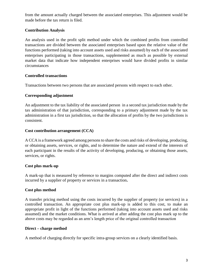from the amount actually charged between the associated enterprises. This adjustment would be made before the tax return is filed.

## **Contribution Analysis**

An analysis used in the profit split method under which the combined profits from controlled transactions are divided between the associated enterprises based upon the relative value of the functions performed (taking into account assets used and risks assumed) by each of the associated enterprises participating in those transactions, supplemented as much as possible by external market data that indicate how independent enterprises would have divided profits in similar circumstances

## **Controlled transactions**

Transactions between two persons that are associated persons with respect to each other.

## **Corresponding adjustment**

An adjustment to the tax liability of the associated person in a second tax jurisdiction made by the tax administration of that jurisdiction, corresponding to a primary adjustment made by the tax administration in a first tax jurisdiction, so that the allocation of profits by the two jurisdictions is consistent.

## **Cost contribution arrangement (CCA)**

A CCA is a framework agreed among persons to share the costs and risks of developing, producing, or obtaining assets, services, or rights, and to determine the nature and extend of the interests of each participant in the results of the activity of developing, producing, or obtaining those assets, services, or rights.

## **Cost plus mark-up**

A mark-up that is measured by reference to margins computed after the direct and indirect costs incurred by a supplier of property or services in a transaction**.** 

## **Cost plus method**

A transfer pricing method using the costs incurred by the supplier of property (or services) in a controlled transaction. An appropriate cost plus mark-up is added to this cost, to make an appropriate profit in light of the functions performed (taking into account assets used and risks assumed) and the market conditions. What is arrived at after adding the cost plus mark up to the above costs may be regarded as an arm's length price of the original controlled transaction

## **Direct – charge method**

A method of charging directly for specific intra-group services on a clearly identified basis.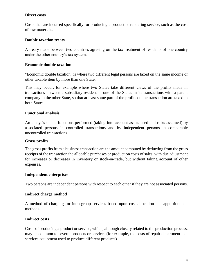## **Direct costs**

Costs that are incurred specifically for producing a product or rendering service, such as the cost of raw materials.

## **Double taxation treaty**

A treaty made between two countries agreeing on the tax treatment of residents of one country under the other country's tax system.

## **Economic double taxation**

"Economic double taxation" is where two different legal persons are taxed on the same income or other taxable item by more than one State.

This may occur, for example where two States take different views of the profits made in transactions between a subsidiary resident in one of the States in its transactions with a parent company in the other State, so that at least some part of the profits on the transaction are taxed in both States.

## **Functional analysis**

An analysis of the functions performed (taking into account assets used and risks assumed) by associated persons in controlled transactions and by independent persons in comparable uncontrolled transactions.

## **Gross profits**

The gross profits from a business transaction are the amount computed by deducting from the gross receipts of the transaction the allocable purchases or production costs of sales, with due adjustment for increases or decreases in inventory or stock-in-trade, but without taking account of other expenses.

## **Independent enterprises**

Two persons are independent persons with respect to each other if they are not associated persons.

## **Indirect charge method**

A method of charging for intra-group services based upon cost allocation and apportionment methods.

## **Indirect costs**

Costs of producing a product or service, which, although closely related to the production process, may be common to several products or services (for example, the costs of repair department that services equipment used to produce different products).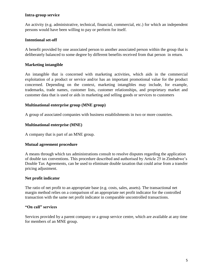## **Intra-group service**

An activity (e.g. administrative, technical, financial, commercial, etc.) for which an independent persons would have been willing to pay or perform for itself.

## **Intentional set-off**

A benefit provided by one associated person to another associated person within the group that is deliberately balanced to some degree by different benefits received from that person in return.

## **Marketing intangible**

An intangible that is concerned with marketing activities, which aids in the commercial exploitation of a product or service and/or has an important promotional value for the product concerned. Depending on the context, marketing intangibles may include, for example, trademarks, trade names, customer lists, customer relationships, and proprietary market and customer data that is used or aids in marketing and selling goods or services to customers

## **Multinational enterprise group (MNE group)**

A group of associated companies with business establishments in two or more countries.

## **Multinational enterprise (MNE)**

A company that is part of an MNE group.

## **Mutual agreement procedure**

A means through which tax administrations consult to resolve disputes regarding the application of double tax conventions. This procedure described and authorised by Article 25 in Zimbabwe's Double Tax Agreements, can be used to eliminate double taxation that could arise from a transfer pricing adjustment.

#### **Net profit indicator**

The ratio of net profit to an appropriate base (e.g. costs, sales, assets). The transactional net margin method relies on a comparison of an appropriate net profit indicator for the controlled transaction with the same net profit indicator in comparable uncontrolled transactions.

### **"On call" services**

Services provided by a parent company or a group service centre, which are available at any time for members of an MNE group.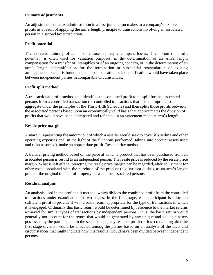## **Primary adjustments**

An adjustment that a tax administration in a first jurisdiction makes to a company's taxable profits as a result of applying the arm's length principle to transactions involving an associated person in a second tax jurisdiction.

## **Profit potential**

The expected future profits. In some cases it may encompass losses. The notion of "profit potential" is often used for valuation purposes, in the determination of an arm's length compensation for a transfer of intangibles or of an ongoing concern, or in the determination of an arm's length indemnification for the termination or substantial renegotiation of existing arrangements, once it is found that such compensation or indemnification would have taken place between independent parties in comparable circumstances.

## **Profit split method**

A transactional profit method that identifies the combined profit to be split for the associated persons from a controlled transaction (or controlled transactions that it is appropriate to aggregate under the principles of the Thirty-fifth Schedule) and then splits those profits between the associated persons based upon an economically valid basis that approximates the division of profits that would have been anticipated and reflected in an agreement made at arm's length.

## **Resale price margin**

A margin representing the amount out of which a reseller would seek to cover it's selling and other operating expenses and, in the light of the functions performed (taking into account assets used and risks assumed), make an appropriate profit. Resale price method

A transfer pricing method based on the price at which a product that has been purchased from an associated person is resold to an independent person. The resale price is reduced by the resale price margin. What is left after subtracting the resale price margin can be regarded, after adjustment for other costs associated with the purchase of the product (e.g. custom duties), as an arm's length price of the original transfer of property between the associated persons.

## **Residual analysis**

An analysis used in the profit split method, which divides the combined profit from the controlled transactions under examination in two stages. In the first stage, each participant is allocated sufficient profit to provide it with a basic return appropriate for the type of transactions in which it is engaged. Ordinarily this basic return would be determined by reference to the market returns achieved for similar types of transactions by independent persons. Thus, the basic return would generally not account for the return that would be generated by any unique and valuable assets possessed by the participants. In the second stage, any residual profit (or loss) remaining after the first stage division would be allocated among the parties based on an analysis of the facts and circumstances that might indicate how this residual would have been divided between independent persons.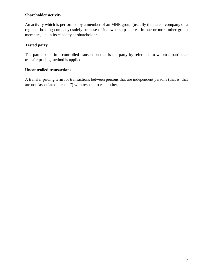## **Shareholder activity**

An activity which is performed by a member of an MNE group (usually the parent company or a regional holding company) solely because of its ownership interest in one or more other group members, i.e. in its capacity as shareholder.

## **Tested party**

The participants in a controlled transaction that is the party by reference to whom a particular transfer pricing method is applied.

## **Uncontrolled transactions**

A transfer pricing term for transactions between persons that are independent persons (that is, that are not "associated persons") with respect to each other.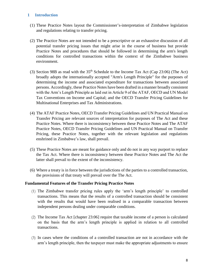## <span id="page-8-0"></span>**1 Introduction**

- (1) These Practice Notes layout the Commissioner's-interpretation of Zimbabwe legislation and regulations relating to transfer pricing.
- (2) The Practice Notes are not intended to be a prescriptive or an exhaustive discussion of all potential transfer pricing issues that might arise in the course of business but provide Practice Notes and procedures that should be followed in determining the arm's length conditions for controlled transactions within the context of the Zimbabwe business environment.
- (3) Section 98B as read with the  $35<sup>th</sup>$  Schedule to the Income Tax Act (Cap 23:06) (The Act) broadly adopts the internationally accepted "Arm's Length Principle" for the purposes of determining the income and associated expenditure for transactions between associated persons. Accordingly, these Practice Notes have been drafted in a manner broadly consistent with the Arm's Length Principle as laid out in Article 9 of the ATAF, OECD and UN Model Tax Conventions on Income and Capital; and the OECD Transfer Pricing Guidelines for Multinational Enterprises and Tax Administrations.
- (4) The ATAF Practice Notes, OECD Transfer Pricing Guidelines and UN Practical Manual on Transfer Pricing are relevant sources of interpretation for purposes of The Act and these Practice Notes. Where there is inconsistency between these Practice Notes and The ATAF Practice Notes, OECD Transfer Pricing Guidelines and UN Practical Manual on Transfer Pricing, these Practice Notes, together with the relevant legislation and regulations enshrined in Zimbabwe's law, shall prevail.
- (5) These Practice Notes are meant for guidance only and do not in any way purport to replace the Tax Act. Where there is inconsistency between these Practice Notes and The Act the latter shall prevail to the extent of the inconsistency.
- (6) Where a treaty is in force between the jurisdictions of the parties to a controlled transaction, the provisions of that treaty will prevail over the The Act.

## **Fundamental Features of the Transfer Pricing Practice Notes**

- (1) The Zimbabwe transfer pricing rules apply the 'arm's length principle' to controlled transactions. This means that the results of a controlled transaction should be consistent with the results that would have been realised in a comparable transaction between independent persons dealing under comparable conditions.
- (2) The Income Tax Act [chapter 23:06] require that taxable income of a person is calculated on the basis that the arm's length principle is applied in relation to all controlled transactions.
- (3) In cases where the conditions of a controlled transaction are not in accordance with the arm's length principle, then the taxpayer must make the appropriate adjustments to ensure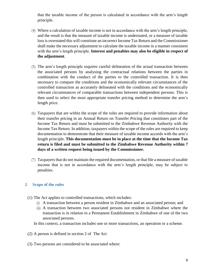that the taxable income of the person is calculated in accordance with the arm's length principle.

- (4) Where a calculation of taxable income is not in accordance with the arm's length principle, and the result is that the measure of taxable income is understated, or a measure of taxable loss is overstated this will constitute an incorrect Income Tax Return and the Commissioner shall make the necessary adjustment to calculate the taxable income in a manner consistent with the arm's length principle. **Interest and penalties may also be eligible in respect of the adjustment**.
- (5) The arm's length principle requires careful delineation of the actual transaction between the associated persons by analysing the contractual relations between the parties in combination with the conduct of the parties to the controlled transaction. It is then necessary to compare the conditions and the economically relevant circumstances of the controlled transaction as accurately delineated with the conditions and the economically relevant circumstances of comparable transactions between independent persons. This is then used to select the most appropriate transfer pricing method to determine the arm's length price.
- (6) Taxpayers that are within the scope of the rules are required to provide information about their transfer pricing in an Annual Return on Transfer Pricing that constitutes part of the Income Tax Return and must be submitted to the Zimbabwe Revenue Authority with the Income Tax Return. In addition, taxpayers within the scope of the rules are required to keep documentation to demonstrate that their measure of taxable income accords with the arm's length principle. **This documentation must be in place at the time that the Income Tax return is filed and must be submitted to the Zimbabwe Revenue Authority within 7 days of a written request being issued by the Commissioner.**
- (7) Taxpayers that do not maintain the required documentation, or that file a measure of taxable income that is not in accordance with the arm's length principle, may be subject to penalties.

## <span id="page-9-0"></span>**2 Scope of the rules**

- (1) The Act applies to controlled transactions, which includes:
	- (i) A transaction between a person resident in Zimbabwe and an associated person; and
	- (ii) A transaction between two associated persons not resident in Zimbabwe where the transaction is in relation to a Permanent Establishment in Zimbabwe of one of the two associated persons.

In this context, a transaction includes one or more transactions, an operation or a scheme.

- (2) A person is defined in section 2 of The Act
- (3) Two persons are considered to be associated where: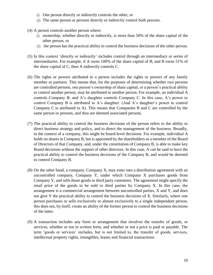- (i) One person directly or indirectly controls the other, or
- (ii) The same person or persons directly or indirectly control both persons.
- (4) A person controls another person where:
	- (i) ownership, whether directly or indirectly, is more than 50% of the share capital of the other person, or
	- (ii) the person has the practical ability to control the business decisions of the other person.
- (5) In this context 'directly or indirectly' includes control through an intermediary or series of intermediaries. For example, if A owns 100% of the share capital of B, and B owns 51% of the share capital of C, then A indirectly controls C.
- (6) The rights or powers attributed to a person includes the rights or powers of any family member or partners. This means that, for the purposes of determining whether two persons are controlled persons, one person's ownership of share capital, or a person's practical ability to control another person, may be attributed to another person. For example, an individual A controls Company B; and A's daughter controls Company C. In this case, A's power to control Company B is attributed to A's daughter. (And A's daughter's power to control Company C is attributed to A). This means that Companies B and C are controlled by the same person or persons, and thus are deemed associated persons.
- (7) The practical ability to control the business decisions of the person refers to the ability to direct business strategy and policy, and to direct the management of the business. Broadly, in the context of a company, this might be board-level decisions. For example, individual A holds no shares in Company B, but is appointed by the shareholders as a member of the Board of Directors of that Company, and, under the constitution of Company B, is able to make key Board decisions without the support of other directors. In this case, A can be said to have the practical ability to control the business decisions of the Company B, and would be deemed to control Company B.
- (8) On the other hand, a company, Company X, may enter into a distribution agreement with an uncontrolled company, Company Y, under which Company X purchases goods from Company Y, and sells those goods to third party customers. The agreement might specify the retail price of the goods to be sold to third parties by Company X. In this case, the arrangement is a commercial arrangement between uncontrolled parties, X and Y, and does not give Y the practical ability to control the business decisions of X. Similarly, where one person purchases or sells exclusively or almost exclusively to a single independent person, this does not, by itself, create an ability of the former person to control the business decisions of the latter.
- (9) A transaction includes any form or arrangement that involves the transfer of goods, or services, whether or not in written form, and whether or not a price is paid or payable. The term 'goods or services' includes, but is not limited to, the transfer of goods, services, intellectual property rights, intangibles, leases and financial transactions.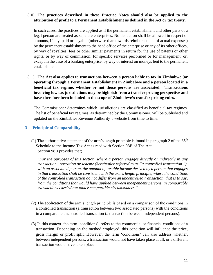## (10) **The practices described in these Practice Notes should also be applied to the attribution of profit to a Permanent Establishment as defined in the Act or tax treaty.**

In such cases, the practices are applied as if the permanent establishment and other parts of a legal person are treated as separate enterprises. No deduction shall be allowed in respect of amounts, if any, paid or payable (otherwise than towards reimbursement of actual expenses) by the permanent establishment to the head office of the enterprise or any of its other offices, by way of royalties, fees or other similar payments in return for the use of patents or other rights, or by way of commission, for specific services performed or for management, or, except in the case of a banking enterprise, by way of interest on moneys lent to the permanent establishment

(11) **The Act also applies to transactions between a person liable to tax in Zimbabwe (or operating through a Permanent Establishment in Zimbabwe and a person located in a beneficial tax regime, whether or not those persons are associated. Transactions involving low tax jurisdictions may be high risk from a transfer pricing perspective and have therefore been included in the scope of Zimbabwe's transfer pricing rules.** 

The Commissioner determines which jurisdictions are classified as beneficial tax regimes. The list of beneficial tax regimes, as determined by the Commissioner, will be published and updated on the Zimbabwe Revenue Authority's website from time to time.

## <span id="page-11-0"></span>**3 Principle of Comparability**

(1) The authoritative statement of the arm's length principle is found in paragraph 2 of the  $35<sup>th</sup>$ Schedule to the Income Tax Act as read with Section 98B of The Act. Section 98B provides that;

"*For the purposes of this section, where a person engages directly or indirectly in any transaction, operation or scheme (hereinafter referred to as "a controlled transaction "), with an associated person, the amount of taxable income derived by a person that engages in that transaction shall be consistent with the arm's length principle, where the conditions of the controlled transaction do not differ from an uncontrolled transaction, that is to say, from the conditions that would have applied between independent persons, in comparable transactions carried out under comparable circumstances."*

- (2) The application of the arm's length principle is based on a comparison of the conditions in a controlled transaction (a transaction between two associated persons) with the conditions in a comparable uncontrolled transaction (a transaction between independent persons).
- (3) In this context, the term 'conditions' refers to the commercial or financial conditions of a transaction. Depending on the method employed, this condition will influence the price, gross margin or profit split. However, the term 'conditions' can also address whether, between independent persons, a transaction would not have taken place at all, or a different transaction would have taken place.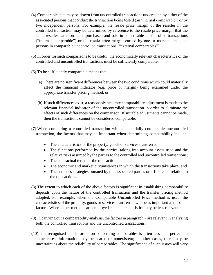- (4) Comparable data may be drawn from uncontrolled transactions undertaken by either of the associated persons that conduct the transaction being tested (an 'internal comparable') or by two independent persons. For example, the resale price margin of the reseller in the controlled transaction may be determined by reference to the resale price margin that the same reseller earns on items purchased and sold in comparable uncontrolled transactions ("internal comparable") or the resale price margin earned by one or more independent persons in comparable uncontrolled transactions ("external comparables").
- (5) In order for such comparisons to be useful, the economically relevant characteristics of the controlled and uncontrolled transactions must be sufficiently comparable.
- (6) To be sufficiently comparable means that:
	- (a) There are no significant differences between the two conditions which could materially affect the financial indicator (e.g. price or margin) being examined under the appropriate transfer pricing method, or
	- (b) If such differences exist, a reasonably accurate comparability adjustment is made to the relevant financial indicator of the uncontrolled transaction in order to eliminate the effects of such differences on the comparison. If suitable adjustments cannot be made, then the transactions cannot be considered comparable.
- (7) When comparing a controlled transaction with a potentially comparable uncontrolled transaction, the factors that may be important when determining comparability include:
	- The characteristics of the property, goods or services transferred;
	- The functions performed by the parties, taking into account assets used and the relative risks assumed by the parties to the controlled and uncontrolled transactions;
	- The contractual terms of the transaction;
	- The economic and market circumstances in which the transactions take place; and
	- The business strategies pursued by the associated parties or affiliates in relation to the transactions.
- (8) The extent to which each of the above factors is significant in establishing comparability depends upon the nature of the controlled transaction and the transfer pricing method adopted. For example, when the Comparable Uncontrolled Price method is used, the characteristics of the property, goods or services transferred will be as important as the other factors. Where other methods are employed, such characteristics may be less relevant.
- (9) In carrying out a comparability analysis, the factors in paragraph 7 are relevant in analyzing both the controlled transactions and the uncontrolled transactions.
- (10) It is recognised that information concerning comparables is often less than perfect. In some cases, information may be scarce or nonexistent; in other cases, there may be uncertainties about the reliability of comparables. The significance of such issues will vary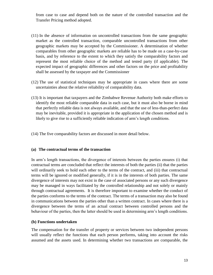from case to case and depend both on the nature of the controlled transaction and the Transfer Pricing method adopted.

- (11) In the absence of information on uncontrolled transactions from the same geographic market as the controlled transaction, comparable uncontrolled transactions from other geographic markets may be accepted by the Commissioner. A determination of whether comparables from other geographic markets are reliable has to be made on a case-by-case basis, and by reference to the extent to which they satisfy the comparability factors and represent the most reliable choice of the method and tested party (if applicable). The expected impact of geographic differences and other factors on the price and profitability shall be assessed by the taxpayer and the Commissioner
- (12) The use of statistical techniques may be appropriate in cases where there are some uncertainties about the relative reliability of comparability data.
- (13) It is important that taxpayers and the Zimbabwe Revenue Authority both make efforts to identify the most reliable comparable data in each case, but it must also be borne in mind that perfectly reliable data is not always available, and that the use of less-than-perfect data may be inevitable, provided it is appropriate in the application of the chosen method and is likely to give rise to a sufficiently reliable indication of arm's length conditions.
- (14) The five comparability factors are discussed in more detail below.

#### **(a) The contractual terms of the transaction**

In arm's length transactions, the divergence of interests between the parties ensures (i) that contractual terms are concluded that reflect the interests of both the parties (ii) that the parties will ordinarily seek to hold each other to the terms of the contract, and (iii) that contractual terms will be ignored or modified generally, if it is in the interests of both parties. The same divergence of interests may not exist in the case of associated persons or any such divergence may be managed in ways facilitated by the controlled relationship and not solely or mainly through contractual agreements. It is therefore important to examine whether the conduct of the parties conforms to the terms of the contract. The terms of a transaction may also be found in communications between the parties other than a written contract. In cases where there is a divergence between the terms of an actual contract between controlled persons and the behaviour of the parties, then the latter should be used in determining arm's length conditions.

#### **(b) Functions undertaken**

The compensation for the transfer of property or services between two independent persons will usually reflect the functions that each person performs, taking into account the risks assumed and the assets used. In determining whether two transactions are comparable, the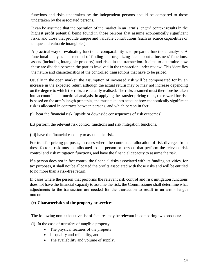functions and risks undertaken by the independent persons should be compared to those undertaken by the associated persons.

It can be assumed that the operation of the market in an 'arm's length' context results in the highest profit potential being found in those persons that assume economically significant risks, and those that provide unique and valuable contributions (such as scarce capabilities or unique and valuable intangibles).

A practical way of evaluating functional comparability is to prepare a functional analysis. A functional analysis is a method of finding and organizing facts about a business' functions, assets (including intangible property) and risks in the transaction. It aims to determine how these are divided between the parties involved in the transaction under review. This identifies the nature and characteristics of the controlled transactions that have to be priced.

Usually in the open market, the assumption of increased risk will be compensated for by an increase in the expected return although the actual return may or may not increase depending on the degree to which the risks are actually realised. The risks assumed must therefore be taken into account in the functional analysis. In applying the transfer pricing rules, the reward for risk is based on the arm's length principle, and must take into account how economically significant risk is allocated in contracts between persons, and which person in fact:

(i) bear the financial risk (upside or downside consequences of risk outcomes)

(ii) perform the relevant risk control functions and risk mitigation functions,

(iii) have the financial capacity to assume the risk.

For transfer pricing purposes, in cases where the contractual allocation of risk diverges from these factors, risk must be allocated to the person or persons that perform the relevant risk control and risk mitigation functions, and have the financial capacity to assume the risk.

If a person does not in fact control the financial risks associated with its funding activities, for tax purposes, it shall not be allocated the profits associated with those risks and will be entitled to no more than a risk-free return.

In cases where the person that performs the relevant risk control and risk mitigation functions does not have the financial capacity to assume the risk, the Commissioner shall determine what adjustments to the transaction are needed for the transaction to result in an arm's length outcome.

## **(c) Characteristics of the property or services**

The following non-exhaustive list of features may be relevant in comparing two products:

- (i) In the case of transfers of tangible property;
	- The physical features of the property,
	- Its quality and reliability, and
	- The availability and volume of supply;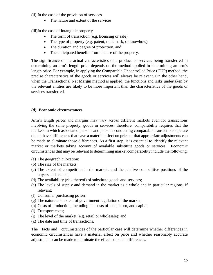(ii) In the case of the provision of services

• The nature and extent of the services

(iii)In the case of intangible property

- The form of transaction (e.g. licensing or sale),
- The type of property (e.g. patent, trademark, or knowhow),
- The duration and degree of protection, and
- The anticipated benefits from the use of the property.

The significance of the actual characteristics of a product or services being transferred in determining an arm's length price depends on the method applied in determining an arm's length price. For example, in applying the Comparable Uncontrolled Price (CUP) method, the precise characteristics of the goods or services will always be relevant. On the other hand, when the Transactional Net Margin method is applied, the functions and risks undertaken by the relevant entities are likely to be more important than the characteristics of the goods or services transferred.

## **(d) Economic circumstances**

Arm's length prices and margins may vary across different markets even for transactions involving the same property, goods or services; therefore, comparability requires that the markets in which associated persons and persons conducting comparable transactions operate do not have differences that have a material effect on price or that appropriate adjustments can be made to eliminate those differences. As a first step, it is essential to identify the relevant market or markets taking account of available substitute goods or services. Economic circumstances that may be relevant to determining market comparability include the following:

- (a) The geographic location;
- (b) The size of the markets;
- (c) The extent of competition in the markets and the relative competitive positions of the buyers and sellers;
- (d) The availability (risk thereof) of substitute goods and services;
- (e) The levels of supply and demand in the market as a whole and in particular regions, if relevant;
- (f) Consumer purchasing power;
- (g) The nature and extent of government regulation of the market;
- (h) Costs of production, including the costs of land, labor, and capital;
- (i) Transport costs;
- (j) The level of the market (e.g. retail or wholesale); and
- (k) The date and time of transactions.

The facts and circumstances of the particular case will determine whether differences in economic circumstances have a material effect on price and whether reasonably accurate adjustments can be made to eliminate the effects of such differences.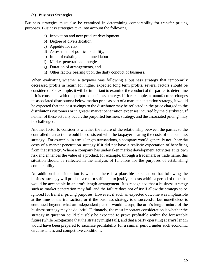#### **(e) Business Strategies**

Business strategies must also be examined in determining comparability for transfer pricing purposes. Business strategies take into account the following:

- a) Innovation and new product development,
- b) Degree of diversification,
- c) Appetite for risk,
- d) Assessment of political stability,
- e) Input of existing and planned labor
- f) Market penetration strategies,
- g) Duration of arrangements, and
- h) Other factors bearing upon the daily conduct of business.

When evaluating whether a taxpayer was following a business strategy that temporarily decreased profits in return for higher expected long term profits, several factors should be considered. For example, it will be important to examine the conduct of the parties to determine if it is consistent with the purported business strategy. If, for example, a manufacturer charges its associated distributor a below-market price as part of a market penetration strategy, it would be expected that the cost savings to the distributor may be reflected in the price charged to the distributor's customers or in greater market penetration expenses incurred by the distributor. If neither of these actually occur, the purported business strategy, and the associated pricing, may be challenged.

Another factor to consider is whether the nature of the relationship between the parties to the controlled transaction would be consistent with the taxpayer bearing the costs of the business strategy. For example, in arm's length transactions, a company would generally not bear the costs of a market penetration strategy if it did not have a realistic expectation of benefiting from that strategy. Where a company has undertaken market development activities at its own risk and enhances the value of a product, for example, through a trademark or trade name, this situation should be reflected in the analysis of functions for the purposes of establishing comparability.

An additional consideration is whether there is a plausible expectation that following the business strategy will produce a return sufficient to justify its costs within a period of time that would be acceptable in an arm's length arrangement. It is recognised that a business strategy such as market penetration may fail, and the failure does not of itself allow the strategy to be ignored for transfer pricing purposes. However, if such an expected outcome was implausible at the time of the transaction, or if the business strategy is unsuccessful but nonetheless is continued beyond what an independent person would accept, the arm's length nature of the business strategy may be doubtful. Ultimately, the most important consideration is whether the strategy in question could plausibly be expected to prove profitable within the foreseeable future (while recognizing that the strategy might fail), and that a party operating at arm's length would have been prepared to sacrifice profitability for a similar period under such economic circumstances and competitive conditions.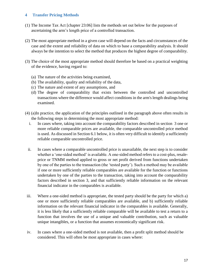## <span id="page-17-0"></span>**4 Transfer Pricing Methods**

- (1) The Income Tax Act [chapter 23:06] lists the methods set out below for the purposes of ascertaining the arm's length price of a controlled transaction.
- (2) The most appropriate method in a given case will depend on the facts and circumstances of the case and the extent and reliability of data on which to base a comparability analysis. It should always be the intention to select the method that produces the highest degree of comparability.
- (3) The choice of the most appropriate method should therefore be based on a practical weighting of the evidence, having regard to:
	- (a) The nature of the activities being examined,
	- (b) The availability, quality and reliability of the data,
	- (c) The nature and extent of any assumptions, and
	- (d) The degree of comparability that exists between the controlled and uncontrolled transactions where the difference would affect conditions in the arm's length dealings being examined.
- (4) (a)In practice, the application of the principles outlined in the paragraph above often results in the following steps in determining the most appropriate method:
	- i. In cases where, taking into account the comparability factors described in section 3 one or more reliable comparable prices are available, the comparable uncontrolled price method is used. As discussed in Section 6.1 below, it is often very difficult to identify a sufficiently reliable comparable uncontrolled price.
	- ii. In cases where a comparable uncontrolled price is unavailable, the next step is to consider whether a 'one-sided method' is available. A one-sided method refers to a cost-plus, resaleprice or TNMM method applied to gross or net profit derived from functions undertaken by one of the parties to the transaction (the 'tested party'). Such a method may be available if one or more sufficiently reliable comparables are available for the function or functions undertaken by one of the parties to the transaction, taking into account the comparability factors described in section 3, and that sufficiently reliable information on the relevant financial indicator in the comparables is available.
- iii. Where a one-sided method is appropriate, the tested party should be the party for which a) one or more sufficiently reliable comparables are available, and b) sufficiently reliable information on the relevant financial indicator in the comparables is available. Generally, it is less likely that a sufficiently reliable comparable will be available to test a return to a function that involves the use of a unique and valuable contribution, such as valuable unique intangibles, or a function that assumes economically significant risk.
- iv. In cases where a one-sided method is not available, then a profit split method should be considered. This will often be most appropriate in cases where: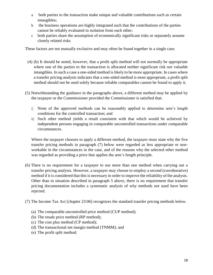- a both parties to the transaction make unique and valuable contributions such as certain intangibles;
- b the business operations are highly integrated such that the contributions of the parties cannot be reliably evaluated in isolation from each other;
- c both parties share the assumption of economically significant risks or separately assume closely related risks

These factors are not mutually exclusive and may often be found together in a single case.

- (4) (b) It should be noted, however, that a profit split method will not normally be appropriate where one of the parties to the transaction is allocated neither significant risk nor valuable intangibles. In such a case a one-sided method is likely to be more appropriate. In cases where a transfer pricing analysis indicates that a one-sided method is most appropriate, a profit split method should not be used solely because reliable comparables cannot be found to apply it.
- (5) Notwithstanding the guidance in the paragraphs above, a different method may be applied by the taxpayer or the Commissioner provided the Commissioner is satisfied that:
	- i) None of the approved methods can be reasonably applied to determine arm's length conditions for the controlled transaction; and
	- ii) Such other method yields a result consistent with that which would be achieved by independent persons engaging in comparable uncontrolled transactions under comparable circumstances.

Where the taxpayer chooses to apply a different method, the taxpayer must state why the five transfer pricing methods in paragraph (7) below were regarded as less appropriate or nonworkable in the circumstances in the case, and of the reasons why the selected other method was regarded as providing a price that applies the arm's length principle.

- (6) There is no requirement for a taxpayer to use more than one method when carrying out a transfer pricing analysis. However, a taxpayer may choose to employ a second (corroborative) method if it is considered that this is necessary in order to improve the reliability of the analysis. Other than in situation described in paragraph 5 above, there is no requirement that transfer pricing documentation includes a systematic analysis of why methods not used have been rejected.
- (7) The Income Tax Act [chapter 23:06] recognizes the standard transfer pricing methods below.
	- (a) The comparable uncontrolled price method (CUP method);
	- (b) The resale price method (RP method);
	- (c) The cost plus method (CP method);
	- (d) The transactional net margin method (TNMM); and
	- (e) The profit split method.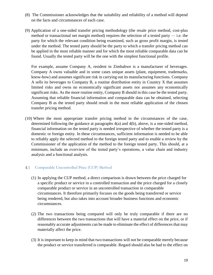- (8) The Commissioner acknowledges that the suitability and reliability of a method will depend on the facts and circumstances of each case.
- (9) Application of a one-sided transfer pricing methodology (the resale price method, cost-plus method or transactional net margin method) requires the selection of a tested party  $-$  i.e. the party for which the relevant condition being examined, such as gross profit margin, is tested under the method. The tested party should be the party to which a transfer pricing method can be applied in the most reliable manner and for which the most reliable comparable data can be found. Usually the tested party will be the one with the simplest functional profile.

For example, assume Company A, resident in Zimbabwe is a manufacturer of beverages. Company A owns valuable and in some cases unique assets (plant, equipment, trademarks, know-how) and assumes significant risk in carrying out its manufacturing functions. Company A sells its beverages to Company B, a routine distribution entity in Country X that assumes limited risks and owns no economically significant assets nor assumes any economically significant risks. As the more routine entity, Company B should in this case be the tested party. Assuming that reliable financial information and comparable data can be obtained, selecting Company B as the tested party should result in the most reliable application of the chosen transfer pricing method.

(10) Where the most appropriate transfer pricing method in the circumstances of the case, determined following the guidance at paragraphs 4(a) and 4(b), above, is a one-sided method, financial information on the tested party is needed irrespective of whether the tested party is a domestic or foreign entity. In these circumstances, sufficient information is needed to be able to reliably apply the selected method to the foreign tested party and to enable a review by the Commissioner of the application of the method to the foreign tested party. This should, at a minimum, include an overview of the tested party's operations, a value chain and industry analysis and a functional analysis.

#### <span id="page-19-0"></span>Comparable Uncontrolled Price (CUP) Method 4.1

- (1) In applying the CUP method, a direct comparison is drawn between the price charged for a specific product or service in a controlled transaction and the price charged for a closely comparable product or service in an uncontrolled transaction in comparable circumstances. It therefore primarily focuses on the goods being transferred or service being rendered, but also takes into account broader business functions and economic circumstances.
- (2) The two transactions being compared will only be truly comparable if there are no differences between the two transactions that will have a material effect on the price, or if reasonably accurate adjustments can be made to eliminate the effect of differences that may materially affect the price.
- (3) It is important to keep in mind that two transactions will not be comparable merely because the product or service transferred is comparable. Regard should also be had to the effect on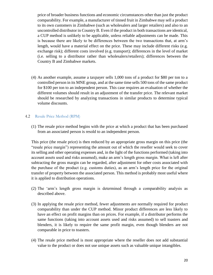price of broader business functions and economic circumstances other than just the product comparability. For example, a manufacturer of tinned fruit in Zimbabwe may sell a product to its own customers in Zimbabwe (such as wholesalers and larger retailers) and also to an uncontrolled distributor in Country B. Even if the product in both transactions are identical, a CUP method is unlikely to be applicable, unless reliable adjustments can be made. This is because there are likely to be differences between the two transactions that, at arm's length, would have a material effect on the price. These may include different risks (e.g. exchange risk); different costs involved (e.g. transport); differences in the level of market (i.e. selling to a distributor rather than wholesalers/retailers); differences between the Country B and Zimbabwe markets.

(4) As another example, assume a taxpayer sells 1,000 tons of a product for \$80 per ton to a controlled person in its MNE group, and at the same time sells 500 tons of the same product for \$100 per ton to an independent person. This case requires an evaluation of whether the different volumes should result in an adjustment of the transfer price. The relevant market should be researched by analyzing transactions in similar products to determine typical volume discounts.

#### <span id="page-20-0"></span> $4.2$ Resale Price Method (RPM)

(1) The resale price method begins with the price at which a product that has been purchased from an associated person is resold to an independent person.

This price (the resale price) is then reduced by an appropriate gross margin on this price (the "resale price margin") representing the amount out of which the reseller would seek to cover its selling and other operating expenses and, in the light of the functions performed (taking into account assets used and risks assumed), make an arm's length gross margin. What is left after subtracting the gross margin can be regarded, after adjustment for other costs associated with the purchase of the product (e.g. customs duties), as an arm's length price for the original transfer of property between the associated person. This method is probably most useful where it is applied to distribution operations.

- (2) The 'arm's length gross margin is determined through a comparability analysis as described above.
- (3) In applying the resale price method, fewer adjustments are normally required for product comparability than under the CUP method. Minor product differences are less likely to have an effect on profit margins than on prices. For example, if a distributor performs the same functions (taking into account assets used and risks assumed) to sell toasters and blenders, it is likely to require the same profit margin, even though blenders are not comparable in price to toasters.
- (4) The resale price method is most appropriate where the reseller does not add substantial value to the product or does not use unique assets such as valuable unique intangibles.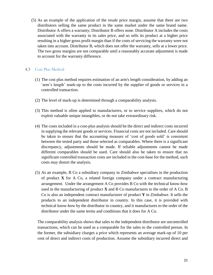(5) As an example of the application of the resale price margin, assume that there are two distributors selling the same product in the same market under the same brand name. Distributor A offers a warranty; Distributor B offers none. Distributor A includes the costs associated with the warranty in its sales price, and so sells its product at a higher price resulting in a higher gross profit margin than if the costs of servicing the warranty were not taken into account. Distributor B, which does not offer the warranty, sells at a lower price. The two gross margins are not comparable until a reasonably accurate adjustment is made to account for the warranty difference.

#### <span id="page-21-0"></span>4.3 Cost Plus Method

- (1) The cost plus method requires estimation of an arm's length consideration, by adding an 'arm's length' mark-up to the costs incurred by the supplier of goods or services in a controlled transaction.
- (2) The level of mark-up is determined through a comparability analysis.
- (3) This method is often applied to manufacturers, or to service suppliers, which do not exploit valuable unique intangibles, or do not take extraordinary risk.
- (4) The costs included in a cost-plus analysis should be the direct and indirect costs incurred in supplying the relevant goods or services. Financial costs are not included. Care should be taken to ensure that the accounting measure of 'cost of goods sold' is consistent between the tested party and those selected as comparables. Where there is a significant discrepancy, adjustments should be made. If reliable adjustments cannot be made different comparables should be used. Care should also be taken to ensure that no significant controlled transaction costs are included in the cost-base for the method, such costs may distort the analysis.
- (5) As an example, B Co a subsidiary company in Zimbabwe specialises in the production of product **X** for A Co, a related foreign company under a contract manufacturing arrangement. Under the arrangement A Co provides B Co with the technical know-how used in the manufacturing of product **X** and B Co manufactures to the order of A Co. B Co is also an independent contract manufacturer of product **Y** in Zimbabwe. It sells the products to an independent distributor in country. In this case, it is provided with technical know-how by the distributor in country, and it manufactures to the order of the distributor under the same terms and conditions that it does for A Co.

The comparability analysis shows that sales to the independent distributor are uncontrolled transactions, which can be used as a comparable for the sales to the controlled person. In the former, the subsidiary charges a price which represents an average mark-up of 10 per cent of direct and indirect costs of production. Assume the subsidiary incurred direct and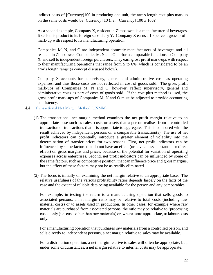indirect costs of [Currency]100 in producing one unit, the arm's length cost plus markup on the same costs would be [Currency] 10 (i.e., [Currency] 100 x 10%).

As a second example, Company X, resident in Zimbabwe, is a manufacturer of beverages. It sells this product to its foreign subsidiary Y. Company X earns a 10 per cent gross profit mark-up with respect to its manufacturing operation.

Companies M, N, and O are independent domestic manufacturers of beverages and all resident in Zimbabwe. Companies M, N and O perform comparable functions to Company X, and sell to independent foreign purchasers. They earn gross profit mark-ups with respect to their manufacturing operations that range from 5 to 6%, which is considered to be an arm's length range (a concept discussed below).

Company X accounts for supervisory, general and administrative costs as operating expenses, and thus those costs are not reflected in cost of goods sold. The gross profit mark-ups of Companies M, N and O, however, reflect supervisory, general and administrative costs as part of costs of goods sold. If the cost plus method is used, the gross profit mark-ups of Companies M, N and O must be adjusted to provide accounting consistency.

- <span id="page-22-0"></span>Transactional Net Margin Method (TNMM)
	- (1) The transactional net margin method examines the net profit margin relative to an appropriate base such as sales, costs or assets that a person realises from a controlled transaction or transactions that it is appropriate to aggregate. This is compared with the result achieved by independent persons on a comparable transaction(s). The use of net profit indicators can potentially introduce a greater element of volatility into the determination of transfer prices for two reasons. First, net profit indicators can be influenced by some factors that do not have an effect (or have a less substantial or direct effect) on gross margins and prices, because of the potential for variation of operating expenses across enterprises. Second, net profit indicators can be influenced by some of the same factors, such as competitive position, that can influence price and gross margins, but the effect of these factors may not be as readily eliminated.
	- (2) The focus is initially on examining the net margin relative to an appropriate base. The relative usefulness of the various profitability ratios depends largely on the facts of the case and the extent of reliable data being available for the person and any comparables.

For example, in testing the return to a manufacturing operation that sells goods to associated persons, a net margin ratio may be relative to total costs (including raw material costs) or to assets used in production. In other cases, for example where raw materials are purchased from associated persons, the ratio may be relative to 'processing costs' only (i.e. costs other than raw materials) or, where more appropriate, to labour costs only.

For a manufacturing operation that purchases raw materials from a controlled person, and sells directly to independent persons, a net margin relative to sales may be available.

For a distribution operation, a net margin relative to sales will often be appropriate, but, under some circumstances, a net margin relative to internal costs may be appropriate.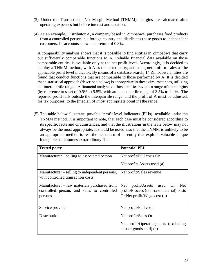- (3) Under the Transactional Net Margin Method (TNMM), margins are calculated after operating expenses but before interest and taxation.
- (4) As an example, Distributor A, a company based in Zimbabwe, purchases food products from a controlled person in a foreign country and distributes those goods to independent customers. Its accounts show a net return of 0.8%.

A comparability analysis shows that it is possible to find entities in Zimbabwe that carry out sufficiently comparable functions to A. Reliable financial data available on those comparable entities is available only at the net profit level. Accordingly, it is decided to employ a TNMM method, with A as the tested party, and using net profit to sales as the applicable profit level indicator. By means of a database search, 14 Zimbabwe entities are found that conduct functions that are comparable to those performed by A. It is decided that a statistical approach (described below) is appropriate in these circumstances, utilizing an 'interquartile range'. A financial analysis of those entities reveals a range of net margins (by reference to sale) of 0.5% to 5.5%, with an inter-quartile range of 3.5% to 4.2%. The reported profit falls outside the interquartile range, and the profit of A must be adjusted, for tax purposes, to the [median of /most appropriate point in] the range.

(5) The table below illustrates possible 'profit level indicators (PLIs)' available under the TNMM method. It is important to note, that each case must be considered according to its specific facts and circumstances, and that the illustrations in the table below may not always be the most appropriate. It should be noted also that the TNMM is unlikely to be an appropriate method to test the net return of an entity that exploits valuable unique intangibles or assumes extraordinary risk.

| <b>Tested party</b>                            | <b>Potential PLI</b>                              |  |
|------------------------------------------------|---------------------------------------------------|--|
| Manufacturer – selling to associated person    | Net profit/Full costs Or                          |  |
|                                                | Net profit/Assets used (a)                        |  |
| Manufacturer – selling to independent persons, | Net profit/Sales revenue                          |  |
| with controlled transaction costs              |                                                   |  |
| Manufacturer – raw materials purchased from    | <b>Net</b><br>profit/Assets<br><b>Net</b><br>used |  |
| controlled person, and sales to controlled     | profit/Process (non-raw material) costs           |  |
| persons                                        | Or Net profit/Wage cost (b)                       |  |
| Service provider                               | Net profit/Full costs                             |  |
| Distribution                                   | Net profit/Sales Or                               |  |
|                                                | Net profit/Operating costs (excluding             |  |
|                                                | cost of goods sold) (c)                           |  |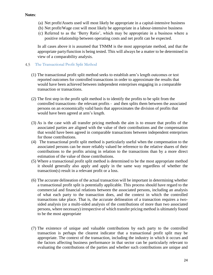- (a) Net profit/Assets used will most likely be appropriate in a capital-intensive business
- (b) Net profit/Wage cost will most likely be appropriate in a labour-intensive business
- (c) Referred to as the 'Berry Ratio', which may be appropriate in a business where a positive relationship between operating costs and net profit can be expected.

In all cases above it is assumed that TNMM is the most appropriate method, and that the appropriate party/function is being tested. This will always be a matter to be determined in view of a comparability analysis.

## <span id="page-24-0"></span>The Transactional Profit Split Method

- (1) The transactional profit split method seeks to establish arm's length outcomes or test reported outcomes for controlled transactions in order to approximate the results that would have been achieved between independent enterprises engaging in a comparable transaction or transactions.
- (2) The first step in the profit split method is to identify the profits to be split from the controlled transactions- the relevant profits - and then splits them between the associated persons on an economically valid basis that approximates the division of profits that would have been agreed at arm's length.
- (3) As is the case with all transfer pricing methods the aim is to ensure that profits of the associated parties are aligned with the value of their contributions and the compensation that would have been agreed in comparable transactions between independent enterprises for those contributions.
- (4) The transactional profit split method is particularly useful when the compensation to the associated persons can be more reliably valued be reference to the relative shares of their contributions to the profits arising in relation to the transactions than by a more direct estimation of the value of those contributions.
- (5) Where a transactional profit split method is determined to be the most appropriate method it should generally also apply and apply in the same way regardless of whether the transaction(s) result in a relevant profit or a loss.
- (6) The accurate delineation of the actual transaction will be important in determining whether a transactional profit split is potentially applicable. This process should have regard to the commercial and financial relations between the associated persons, including an analysis of what each party to the transaction does, and the context in which the controlled transactions take place. That is, the accurate delineation of a transaction requires a twosided analysis (or a multi-sided analysis of the contributions of more than two associated persons, where necessary) irrespective of which transfer pricing method is ultimately found to be the most appropriate
- (7) The existence of unique and valuable contributions by each party to the controlled transaction is perhaps the clearest indicator that a transactional profit split may be appropriate. The context of the transaction, including the industry in which it occurs and the factors affecting business performance in that sector can be particularly relevant to evaluating the contributions of the parties and whether such contributions are unique and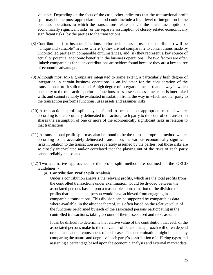valuable. Depending on the facts of the case, other indicators that the transactional profit split may be the most appropriate method could include a high level of integration in the business operations to which the transactions relate and /or the shared assumption of economically significant risks (or the separate assumption of closely related economically significant risks) by the parties to the transactions.

- (8) Contributions (for instance functions performed, or assets used or contributed) will be "unique and valuable" in cases where (i) they are not comparable to contributions made by uncontrolled parties in comparable circumstances, and (ii) they represent a key source of actual or potential economic benefits in the business operations. The two factors are often linked: comparables for such contributions are seldom found because they are a key source of economic advantage.
- (9) Although most MNE groups are integrated to some extent, a particularly high degree of integration in certain business operations is an indicator for the consideration of the transactional profit split method. A high degree of integration means that the way in which one party to the transaction performs functions, uses assets and assumes risks is interlinked with, and cannot reliably be evaluated in isolation from, the way in which another party to the transaction performs functions, uses assets and assumes risks
- (10) A transactional profit split may be found to be the most appropriate method where, according to the accurately delineated transaction, each party to the controlled transaction shares the assumption of one or more of the economically significant risks in relation to that transaction
- (11) A transactional profit split may also be found to be the most appropriate method where, according to the accurately delineated transaction, the various economically significant risks in relation to the transaction are separately assumed by the parties, but those risks are so closely inter-related and/or correlated that the playing out of the risks of each party cannot reliably be isolated
- (12) Two alternative approaches to the profit split method are outlined in the OECD Guidelines: -

#### (a) **Contribution Profit Split Analysis**

Under a contribution analysis the relevant profits, which are the total profits from the controlled transactions under examination, would be divided between the associated persons based upon a reasonable approximation of the division of profits that independent person would have achieved from engaging in comparable transactions. This division can be supported by comparables data where available. In the absence thereof, it is often based on the relative value of the functions performed by each of the associated persons participating in the controlled transactions, taking account of their assets used and risks assumed.

It can be difficult to determine the relative value of the contribution that each of the associated persons make to the relevant profits, and the approach will often depend on the facts and circumstances of each case. The determination might be made by comparing the nature and degree of each party's contribution of differing types and assigning a percentage based upon the economic analysis and external market data.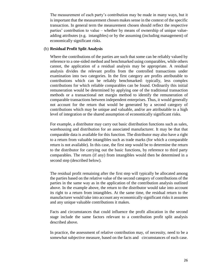The measurement of each party's contribution may be made in many ways, but it is important that the measurement chosen makes sense in the context of the specific transaction. In general term the measurement chosen should reflect the respective parties' contribution to value – whether by means of ownership of unique valueadding attributes (e.g. intangibles) or by the assuming (including management) of economically significant risks.

### (b) **Residual Profit Split Analysis**

Where the contributions of the parties are such that some can be reliably valued by reference to a one-sided method and benchmarked using comparables, while others cannot, the application of a residual analysis may be appropriate. A residual analysis divides the relevant profits from the controlled transactions under examination into two categories. In the first category are profits attributable to contributions which can be reliably benchmarked: typically, less complex contributions for which reliable comparables can be found. Ordinarily this initial remuneration would be determined by applying one of the traditional transaction methods or a transactional net margin method to identify the remuneration of comparable transactions between independent enterprises. Thus, it would generally not account for the return that would be generated by a second category of contributions which may be unique and valuable, and/or are attributable to a high level of integration or the shared assumption of economically significant risks.

For example, a distributor may carry out basic distribution functions such as sales, warehousing and distribution for an associated manufacturer. It may be that that comparable data is available for this function. The distributor may also have a right to a return from valuable intangibles such as trade marks (for which a comparable return is not available). In this case, the first step would be to determine the return to the distributor for carrying out the basic functions, by reference to third party comparables. The return (if any) from intangibles would then be determined in a second step (described below).

The residual profit remaining after the first step will typically be allocated among the parties based on the relative value of the second category of contributions of the parties in the same way as in the application of the contribution analysis outlined above. In the example above, the return to the distributor would take into account its right to a return from intangibles. At the same time, the residual return to the manufacturer would take into account any economically significant risks it assumes and any unique valuable contributions it makes.

Facts and circumstances that could influence the profit allocation in the second stage include the same factors relevant to a contribution profit split analysis described above.

In practice, the assessment of relative contribution may, of necessity, need to be a somewhat subjective measure, based on the facts and circumstances of each case.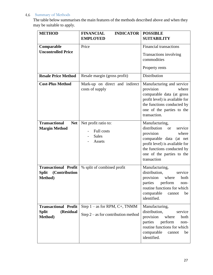## <span id="page-27-0"></span>4.6 Summary of Methods

The table below summarises the main features of the methods described above and when they may be suitable to apply.

| <b>METHOD</b>                                                               | <b>INDICATOR</b><br><b>FINANCIAL</b><br><b>EMPLOYED</b>                  | <b>POSSIBLE</b><br><b>SUITABILITY</b>                                                                                                                                                                                   |
|-----------------------------------------------------------------------------|--------------------------------------------------------------------------|-------------------------------------------------------------------------------------------------------------------------------------------------------------------------------------------------------------------------|
| Comparable<br><b>Uncontrolled Price</b>                                     | Price                                                                    | <b>Financial transactions</b><br>Transactions involving<br>commodities                                                                                                                                                  |
|                                                                             |                                                                          | Property rents                                                                                                                                                                                                          |
| <b>Resale Price Method</b>                                                  | Resale margin (gross profit)                                             | Distribution                                                                                                                                                                                                            |
| <b>Cost-Plus Method</b>                                                     | Mark-up on direct and indirect<br>costs of supply                        | Manufacturing and service<br>provision<br>where<br>comparable data (at gross<br>profit level) is available for<br>the functions conducted by<br>one of the parties to the<br>transaction.                               |
| <b>Transactional</b><br><b>Net</b><br><b>Margin Method</b>                  | Net profit ratio to:<br>Full costs<br><b>Sales</b><br>Assets             | Manufacturing,<br>distribution<br><sub>or</sub><br>service<br>provision<br>where<br>comparable data (at net<br>profit level) is available for<br>the functions conducted by<br>one of the parties to the<br>transaction |
| <b>Transactional Profit</b><br><b>Split</b><br>(Contribution<br>Method)     | % split of combined profit                                               | Manufacturing,<br>distribution,<br>service<br>provision where<br>both<br>parties perform<br>non-<br>routine functions for which<br>comparable<br>be<br>cannot<br>identified.                                            |
| <b>Transactional Profit</b><br>(Residual<br><b>Split</b><br><b>Method</b> ) | Step $1 -$ as for RPM, C+, TNMM<br>Step $2 - as$ for contribution method | Manufacturing,<br>distribution,<br>service<br>provision<br>where<br>both<br>parties<br>perform<br>non-<br>routine functions for which<br>comparable<br>be<br>cannot<br>identified.                                      |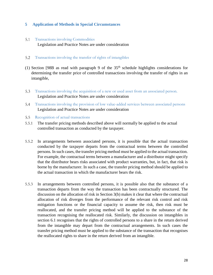## <span id="page-28-0"></span>**5 Application of Methods in Special Circumstances**

<span id="page-28-1"></span> $5.1$ Transactions involving Commodities Legislation and Practice Notes are under consideration

#### <span id="page-28-2"></span> $5.2$ Transactions involving the transfer of rights of intangibles

- (1) Section [98B as read with paragraph 9 of the  $35<sup>th</sup>$  schedule highlights considerations for determining the transfer price of controlled transactions involving the transfer of rights in an intangible,
- <span id="page-28-3"></span>Transactions involving the acquisition of a new or used asset from an associated person.  $5.3$ Legislation and Practice Notes are under consideration
- <span id="page-28-4"></span>Transactions involving the provision of low value-added services between associated persons  $5.4$ Legislation and Practice Notes are under consideration
- <span id="page-28-5"></span> $5.5$ Recognition of actual transactions
- 5.5.1 The transfer pricing methods described above will normally be applied to the actual controlled transaction as conducted by the taxpayer.
- 5.5.2 In arrangements between associated persons, it is possible that the actual transaction conducted by the taxpayer departs from the contractual terms between the controlled persons. In such cases, the transfer pricing method must be applied to the actual transaction. For example, the contractual terms between a manufacturer and a distributor might specify that the distributor bears risks associated with product warranties, but, in fact, that risk is borne by the manufacturer. In such a case, the transfer pricing method should be applied to the actual transaction in which the manufacturer bears the risk.
- 5.5.3 In arrangements between controlled persons, it is possible also that the substance of a transaction departs from the way the transaction has been contractually structured. The discussion on the allocation of risk in Section 3(b) makes it clear that where the contractual allocation of risk diverges from the performance of the relevant risk control and risk mitigation functions or the financial capacity to assume the risk, then risk must be reallocated, and the transfer pricing method will be applied to the substance of the transaction recognising the reallocated risk. Similarly, the discussion on intangibles in section 6.1 recognises that the rights of controlled persons to a share in the return derived from the intangible may depart from the contractual arrangements. In such cases the transfer pricing method must be applied to the substance of the transaction that recognises the reallocated rights to share in the return derived from an intangible.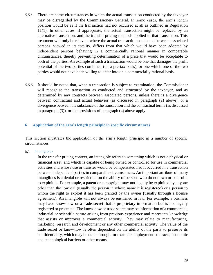- 5.5.4 There are some circumstances in which the actual transaction conducted by the taxpayer may be disregarded by the Commissioner- General. In some cases, the arm's length position would be as if the transaction had not occurred at all as outlined in Regulation 11(1). In other cases, if appropriate, the actual transaction might be replaced by an alternative transaction, and the transfer pricing methods applied to that transaction. This treatment will only be relevant where the actual transaction conducted between associated persons, viewed in its totality, differs from that which would have been adopted by independent persons behaving in a commercially rational manner in comparable circumstances, thereby preventing determination of a price that would be acceptable to both of the parties. An example of such a transaction would be one that damages the profit potential of the two parties combined (on a pre-tax basis), or one which one of the two parties would not have been willing to enter into on a commercially rational basis.
- 5.5.5 It should be noted that, when a transaction is subject to examination, the Commissioner will recognise the transaction as conducted and structured by the taxpayer, and as determined by any contracts between associated persons, unless there is a divergence between contractual and actual behavior (as discussed in paragraph (2) above), or a divergence between the substance of the transaction and the contractual terms (as discussed in paragraph (3)), or the provisions of paragraph (4) above apply.

## <span id="page-29-0"></span>**6 Application of the arm's length principle in specific circumstances**

This section illustrates the application of the arm's length principle in a number of specific circumstances.

<span id="page-29-1"></span>6.1 Intangibles

> In the transfer pricing context, an intangible refers to something which is not a physical or financial asset, and which is capable of being owned or controlled for use in commercial activities and whose use or transfer would be compensated had it occurred in a transaction between independent parties in comparable circumstances. An important attribute of many intangibles is a denial or restriction on the ability of persons who do not own or control it to exploit it. For example, a patent or a copyright may not legally be exploited by anyone other than the 'owner' (usually the person in whose name it is registered) or a person to whom the right to exploit it has been granted by the owner (usually through a license agreement). An intangible will not always be enshrined in law. For example, a business may have know-how or a trade secret that is proprietary information but is not legally registered or protected. The know-how or trade secret may be information of a commercial, industrial or scientific nature arising from previous experience and represents knowledge that assists or improves a commercial activity. They may relate to manufacturing, marketing, research and development or any other commercial activity. The value of the trade secret or know-how is often dependent on the ability of the party to preserve its confidentiality, which may be done through for example employment contracts, economic and technological barriers or other means.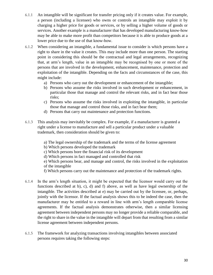- 6.1.1 An intangible will be significant for transfer pricing only if it creates value. For example, a person (including a licensee) who owns or controls an intangible may exploit it by charging a higher price for goods or services, or by selling a higher volume of goods or services. Another example is a manufacturer that has developed manufacturing know-how may be able to make more profit than competitors because it is able to produce goods at a lower price due to the use of that know-how.
- 6.1.2 When considering an intangible, a fundamental issue to consider is which persons have a right to share in the value it creates. This may include more than one person. The starting point in considering this should be the contractual and legal arrangements, recognizing that, at arm's length, value in an intangible may be recognised by one or more of the persons that are involved in the development, enhancement, maintenance, protection and exploitation of the intangible. Depending on the facts and circumstances of the case, this might include:
	- a) Persons who carry out the development or enhancement of the intangible;
	- b) Persons who assume the risks involved in such development or enhancement, in particular those that manage and control the relevant risks, and in fact bear those risks;
	- c) Persons who assume the risks involved in exploiting the intangible, in particular those that manage and control those risks, and in fact bear them;
	- d) Persons that carry out maintenance and protection functions.
- 6.1.3 This analysis may inevitably be complex. For example, if a manufacturer is granted a right under a license to manufacture and sell a particular product under a valuable trademark, then consideration should be given to:
	- a) The legal ownership of the trademark and the terms of the license agreement
	- b) Which persons developed the trademark
	- c) Which persons bore the financial risk of its development
	- d) Which persons in fact managed and controlled that risk
	- e) Which persons bear, and manage and control, the risks involved in the exploitation of the intangible
	- f) Which persons carry out the maintenance and protection of the trademark rights.
- 6.1.4 In the arm's length situation, it might be expected that the licensor would carry out the functions described at b), c), d) and f) above, as well as have legal ownership of the intangible. The activities described at e) may be carried out by the licensee, or, perhaps, jointly with the licensor. If the factual analysis shows this to be indeed the case, then the manufacturer may be entitled to a reward in line with arm's length comparable license agreements. If the factual analysis demonstrates otherwise, then a similar licensing agreement between independent persons may no longer provide a reliable comparable, and the right to share in the value in the intangible will depart from that resulting from a similar license agreement between independent persons.
- 6.1.5 The framework for analyzing transactions involving intangibles between associated persons requires taking the following steps: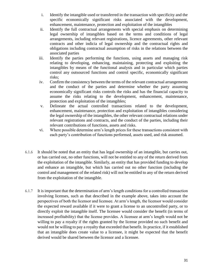- i. Identify the intangible used or transferred in the transaction with specificity and the specific economically significant risks associated with the development, enhancement, maintenance, protection and exploitation of the intangibles
- ii. Identify the full contractual arrangements with special emphasis on determining legal ownership of intangibles based on the terms and conditions of legal arrangements, including relevant registrations, licence agreements, other relevant contracts and other indicia of legal ownership and the contractual rights and obligations including contractual assumption of risks in the relations between the associated parties
- iii. Identify the parties performing the functions, using assets and managing risk relating to developing, enhancing, maintaining, protecting and exploiting the intangibles by means of the functional analysis and in particular which parties control any outsourced functions and control specific, economically significant risks;
- iv. Confirm the consistency between the terms of the relevant contractual arrangements and the conduct of the parties and determine whether the party assuming economically significant risks controls the risks and has the financial capacity to assume the risks relating to the development, enhancement, maintenance, protection and exploitation of the intangibles;
- v. Delineate the actual controlled transactions related to the development, enhancement, maintenance, protection and exploitation of intangibles considering the legal ownership of the intangibles, the other relevant contractual relations under relevant registrations and contracts, and the conduct of the parties, including their relevant contributions of functions, assets and risks.
- vi. Where possible determine arm's length prices for these transactions consistent with each party's contribution of functions performed, assets used, and risk assumed.
- 6.1.6 It should be noted that an entity that has legal ownership of an intangible, but carries out, or has carried out, no other functions, will not be entitled to any of the return derived from the exploitation of the intangible. Similarly, an entity that has provided funding to develop and enhance an intangible, but which has carried out no other function (including the control and management of the related risk) will not be entitled to any of the return derived from the exploitation of the intangible.
- 6.1.7 It is important that the determination of arm's length conditions for a controlled transaction involving licenses, such as that described in the example above, takes into account the perspectives of both the licensor and licensee. At arm's length, the licensor would consider the expected reward available if it were to grant a license to an uncontrolled party, or to directly exploit the intangible itself. The licensee would consider the benefit (in terms of increased profitability) that the license provides. A licensee at arm's length would not be willing to pay a royalty if the rights granted by the license provided no such benefit and would not be willing to pay a royalty that exceeded that benefit. In practice, if it established that an intangible does create value to a licensee, it might be expected that the benefit derived would be shared between the licensor and a licensee.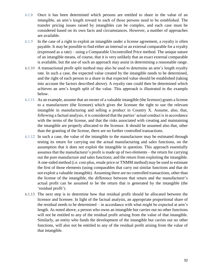- 6.1.8 Once it has been determined which persons are entitled to share in the value of an intangible, an arm's length reward to each of those persons need to be established. The transfer pricing issues raised by intangibles can be complex, and each case must be considered based on its own facts and circumstances. However, a number of approaches are available.
- 6.1.9 In the case of a right to exploit an intangible under a license agreement, a royalty is often payable. It may be possible to find either an internal or an external comparable for a royalty (expressed as a rate) – using a Comparable Uncontrolled Price method. The unique nature of an intangible means, of course, that it is very unlikely that an exact external comparable is available, but the use of such an approach may assist in determining a reasonable range.
- 6.1.10 A transactional profit split method may also be used to determine an arm's length royalty rate. In such a case, the expected value created by the intangible needs to be determined, and the right of each person to a share in that expected value should be established (taking into account the factors described above). A royalty rate could then be determined which achieves an arm's length split of the value. This approach is illustrated in the example below.
- 6.1.11 As an example, assume that an owner of a valuable intangible (the licensor) grants a license to a manufacturer (the licensee) which gives the licensee the right to use the relevant intangible in manufacturing and selling a product in Country X. Assume, also, that, following a factual analysis, it is considered that the parties' actual conduct is in accordance with the terms of the license, and that the risks associated with creating and maintaining the intangible are properly allocated to the licensor. It should be assumed also that, other than the granting of the license, there are no further controlled transactions.
- 6.1.12 In such a case, the value of the intangible to the manufacturer may be estimated through testing its return for carrying out the actual manufacturing and sales functions, on the assumption that it does not exploit the intangible in question. This approach essentially assumes that the manufacturer's profit is made up of two elements – the return for carrying out the pure manufacture and sales functions; and the return from exploiting the intangible. A one-sided method (i.e. cost-plus, resale price or TNMM method) may be used to estimate the first of those elements (using comparables that carry out similar functions and that do not exploit a valuable intangible). Assuming there are no controlled transactions, other than the license of the intangible, the difference between that return and the manufacturer's actual profit can be assumed to be the return that is generated by the intangible (the 'residual profit').
- 6.1.13 The next step is to determine how that residual profit should be allocated between the licensor and licensee. In light of the factual analysis, an appropriate proportional share of the residual needs to be determined – in accordance with what might be expected at arm's length. As noted above, a person who owns an intangible but carries out no other functions will not be entitled to any of the residual profit arising from the value of that intangible. Similarly, an entity who funds the development of the intangible but carries out no other functions, will also not be entitled to any of the residual profit arising from the value of that intangible.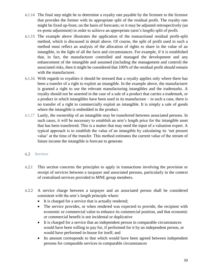- 6.1.14 The final step might be to determine a royalty rate payable by the licensee to the licensor that provides the former with its appropriate split of the residual profit. The royalty rate might be fixed up-front, on the basis of forecasts; or it may be adjusted retrospectively (an ex-poste adjustment) in order to achieve an appropriate (arm's length) split of profit.
- 6.1.15 The example above illustrates the application of the transactional residual profit-split method, which is discussed in detail above. Of course, the split of profit used in such a method must reflect an analysis of the allocation of rights to share in the value of an intangible, in the light of all the facts and circumstances. For example, if it is established that, in fact, the manufacturer controlled and managed the development and any enhancement of the intangible and assumed (including the management and control) the associated risks, then it might be considered that 100% of the residual profit should remain with the manufacturer.
- 6.1.16 With regards to royalties it should be stressed that a royalty applies only where there has been a transfer of a right to exploit an intangible. In the example above, the manufacturer is granted a right to use the relevant manufacturing intangibles and the trademarks. A royalty should not be asserted in the case of a sale of a product that carries a trademark, or a product in which intangibles have been used in its manufacture – in such a case, there is no transfer of a right to commercially exploit an intangible. It is simply a sale of goods where the intangible is embedded in the product.
- 6.1.17 Lastly, the ownership of an intangible may be transferred between associated persons. In such cases, it will be necessary to establish an arm's length price for the intangible asset that has been transferred. This is a matter that may need the input of a valuation expert. A typical approach is to establish the value of an intangible by calculating its 'net present value' at the time of the transfer. This method estimates the current value of the stream of future income the intangible is forecast to generate.

#### <span id="page-33-0"></span> $6.2$ **Services**

- 6.2.1 This section concerns the principles to apply in transactions involving the provision or receipt of services between a taxpayer and associated persons, particularly in the context of centralised services provided to MNE group members.
- 6.2.2 A service charge between a taxpayer and an associated person shall be considered consistent with the arm's length principle where:
	- It is charged for a service that is actually rendered;
	- The service provides, or when rendered was expected to provide, the recipient with economic or commercial value to enhance its commercial position, and that economic or commercial benefit is not incidental or duplicative
	- It is charged for a service that an independent person in comparable circumstances would have been willing to pay for, if performed for it by an independent person, or would have performed in-house for itself; and
	- Its amount corresponds to that which would have been agreed between independent persons for comparable services in comparable circumstances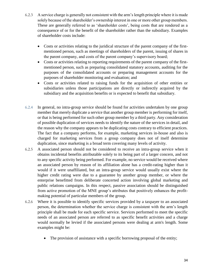- 6.2.3 A service charge is generally not consistent with the arm's length principle where it is made solely because of the shareholder's ownership interest in one or more other group members. These are generally referred to as 'shareholder costs', being costs that are rendered as a consequence of or for the benefit of the shareholder rather than the subsidiary. Examples of shareholder costs include:
	- Costs or activities relating to the juridical structure of the parent company of the firstmentioned person, such as meetings of shareholders of the parent, issuing of shares in the parent company, and costs of the parent company's supervisory board;
	- Costs or activities relating to reporting requirements of the parent company of the firstmentioned person, such as preparing consolidated statutory accounts, auditing for the purposes of the consolidated accounts or preparing management accounts for the purposes of shareholder monitoring and evaluation; and
	- Costs or activities related to raising funds for the acquisition of other entities or subsidiaries unless those participations are directly or indirectly acquired by the subsidiary and the acquisition benefits or is expected to benefit that subsidiary.
- 6.2.4 In general, no intra-group service should be found for activities undertaken by one group member that merely duplicate a service that another group member is performing for itself, or that is being performed for such other group member by a third party. Any consideration of possible duplication of services needs to identify the nature of the services in detail, and the reason why the company appears to be duplicating costs contrary to efficient practices. The fact that a company performs, for example, marketing services in-house and also is charged for marketing services from a group company does not of itself determine duplication, since marketing is a broad term covering many levels of activity.
- 6.2.5 A associated person should not be considered to receive an intra-group service when it obtains incidental benefits attributable solely to its being part of a larger concern, and not to any specific activity being performed. For example, no service would be received where an associated person by reason of its affiliation alone has a credit-rating higher than it would if it were unaffiliated, but an intra-group service would usually exist where the higher credit rating were due to a guarantee by another group member, or where the enterprise benefitted from deliberate concerted action involving global marketing and public relations campaigns. In this respect, passive association should be distinguished from active promotion of the MNE group's attributes that positively enhances the profitmaking potential of particular members of the group.
- 6.2.6 Where it is possible to identify specific services provided by a taxpayer to an associated person, the determination whether the service charge is consistent with the arm's length principle shall be made for each specific service. Services performed to meet the specific needs of an associated person are referred to as specific benefit activities and a charge would normally be levied if the associated persons were dealing at arm's length. Some examples might be:
	- The provision of assistance with a specific borrowing proposal of the entity;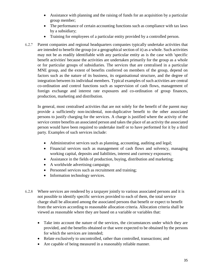- Assistance with planning and the raising of funds for an acquisition by a particular group member;
- The performance of certain accounting functions such as compliance with tax laws by a subsidiary;
- Training for employees of a particular entity provided by a controlled person.
- 6.2.7 Parent companies and regional headquarters companies typically undertake activities that are intended to benefit the group (or a geographical section of it) as a whole. Such activities may not be as readily identifiable with any particular entity as is the case with 'specific benefit activities' because the activities are undertaken primarily for the group as a whole or for particular groups of subsidiaries. The services that are centralised in a particular MNE group, and the extent of benefits conferred on members of the group, depend on factors such as the nature of its business, its organisational structure, and the degree of integration between its individual members. Typical examples of such activities are central co-ordination and control functions such as supervision of cash flows, management of foreign exchange and interest rate exposures and co-ordination of group finances, production, marketing and distribution.

In general, most centralised activities that are not solely for the benefit of the parent may provide a sufficiently non-incidental, non-duplicative benefit to the other associated persons to justify charging for the services. A charge is justified where the activity of the service centre benefits an associated person and takes the place of an activity the associated person would have been required to undertake itself or to have performed for it by a third party. Examples of such services include:

- Administrative services such as planning, accounting, auditing and legal;
- Financial services such as management of cash flows and solvency, managing working capital, deposits and liabilities, interest and currency exposures;
- Assistance in the fields of production, buying, distribution and marketing;
- A worldwide advertising campaign;
- Personnel services such as recruitment and training;
- Information technology services.
- 6.2.8 Where services are rendered by a taxpayer jointly to various associated persons and it is not possible to identify specific services provided to each of them, the total service charge shall be allocated among the associated persons that benefit or expect to benefit from the services according to reasonable allocation criteria. Allocation criteria shall be viewed as reasonable where they are based on a variable or variables that:
	- Take into account the nature of the services, the circumstances under which they are provided, and the benefits obtained or that were expected to be obtained by the persons for which the services are intended;
	- Relate exclusively to uncontrolled, rather than controlled, transactions; and
	- Are capable of being measured in a reasonably reliable manner.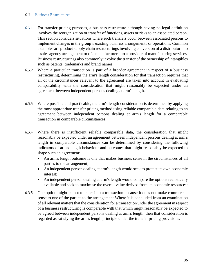#### <span id="page-36-0"></span> $6.3$ Business Restructures

- 6.3.1 For transfer pricing purposes, a business restructure although having no legal definition involves the reorganization or transfer of functions, assets or risks to an associated person. This section considers situations where such transfers occur between associated persons to implement changes in the group's existing business arrangements or operations. Common examples are product supply chain restructurings involving conversion of a distributor into a sales agency arrangement or of a manufacturer into a provider of manufacturing services. Business restructurings also commonly involve the transfer of the ownership of intangibles such as patents, trademarks and brand names.
- 6.3.2 Where a particular transaction is part of a broader agreement in respect of a business restructuring, determining the arm's length consideration for that transaction requires that all of the circumstances relevant to the agreement are taken into account in evaluating comparability with the consideration that might reasonably be expected under an agreement between independent persons dealing at arm's length.
- 6.3.3 Where possible and practicable, the arm's length consideration is determined by applying the most appropriate transfer pricing method using reliable comparable data relating to an agreement between independent persons dealing at arm's length for a comparable transaction in comparable circumstances.
- 6.3.4 Where there is insufficient reliable comparable data, the consideration that might reasonably be expected under an agreement between independent persons dealing at arm's length in comparable circumstances can be determined by considering the following indicators of arm's length behaviour and outcomes that might reasonably be expected to shape such an agreement:
	- An arm's length outcome is one that makes business sense in the circumstances of all parties to the arrangement;
	- An independent person dealing at arm's length would seek to protect its own economic interest;
	- An independent person dealing at arm's length would compare the options realistically available and seek to maximise the overall value derived from its economic resources;
- 6.3.5 One option might be not to enter into a transaction because it does not make commercial sense to one of the parties to the arrangement Where it is concluded from an examination of all relevant matters that the consideration for a transaction under the agreement in respect of a business restructuring is comparable with that which might reasonably be expected to be agreed between independent persons dealing at arm's length, then that consideration is regarded as satisfying the arm's length principle under the transfer pricing provisions.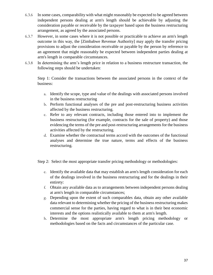- 6.3.6 In some cases, comparability with what might reasonably be expected to be agreed between independent persons dealing at arm's length should be achievable by adjusting the consideration payable or receivable by the taxpayer based upon the business restructuring arrangement, as agreed by the associated persons.
- 6.3.7 However, in some cases where it is not possible or practicable to achieve an arm's length outcome in this way, the [Zimbabwe Revenue Authority] may apply the transfer pricing provisions to adjust the consideration receivable or payable by the person by reference to an agreement that might reasonably be expected between independent parties dealing at arm's length in comparable circumstances.
- 6.3.8 In determining the arm's length price in relation to a business restructure transaction, the following steps should be undertaken:

Step 1: Consider the transactions between the associated persons in the context of the business:

- a. Identify the scope, type and value of the dealings with associated persons involved in the business restructuring
- b. Perform functional analyses of the pre and post-restructuring business activities affected by the business restructuring.
- c. Refer to any relevant contracts, including those entered into to implement the business restructuring (for example, contracts for the sale of property) and those evidencing the terms of the pre and post-restructuring arrangements for the business activities affected by the restructuring.
- d. Examine whether the contractual terms accord with the outcomes of the functional analyses and determine the true nature, terms and effects of the business restructuring.

Step 2: Select the most appropriate transfer pricing methodology or methodologies:

- e. Identify the available data that may establish an arm's length consideration for each of the dealings involved in the business restructuring and for the dealings in their entirety:
- f. Obtain any available data as to arrangements between independent persons dealing at arm's length in comparable circumstances;
- g. Depending upon the extent of such comparables data, obtain any other available data relevant to determining whether the pricing of the business restructuring makes commercial sense for the parties, having regard to what is in their best economic interests and the options realistically available to them at arm's length.
- h. Determine the most appropriate arm's length pricing methodology or methodologies based on the facts and circumstances of the particular case.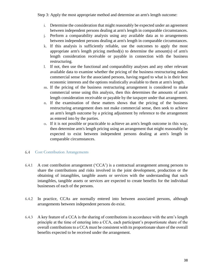Step 3: Apply the most appropriate method and determine an arm's length outcome:

- i. Determine the consideration that might reasonably be expected under an agreement between independent persons dealing at arm's length in comparable circumstances.
- j. Perform a comparability analysis using any available data as to arrangements between independent persons dealing at arm's length in comparable circumstances.
- k. If this analysis is sufficiently reliable, use the outcomes to apply the most appropriate arm's length pricing method(s) to determine the amount(s) of arm's length consideration receivable or payable in connection with the business restructuring.
- l. If not, then use the functional and comparability analyses and any other relevant available data to examine whether the pricing of the business restructuring makes commercial sense for the associated persons, having regard to what is in their best economic interests and the options realistically available to them at arm's length.
- m. If the pricing of the business restructuring arrangement is considered to make commercial sense using this analysis, then this determines the amounts of arm's length consideration receivable or payable by the taxpayer under that arrangement.
- n. If the examination of these matters shows that the pricing of the business restructuring arrangement does not make commercial sense, then seek to achieve an arm's length outcome by a pricing adjustment by reference to the arrangement as entered into by the parties.
- o. If it is not possible or practicable to achieve an arm's length outcome in this way, then determine arm's length pricing using an arrangement that might reasonably be expected to exist between independent persons dealing at arm's length in comparable circumstances.

## <span id="page-38-0"></span>6.4 Cost Contribution Arrangements

- 6.4.1 A cost contribution arrangement ('CCA') is a contractual arrangement among persons to share the contributions and risks involved in the joint development, production or the obtaining of intangibles, tangible assets or services with the understanding that such intangibles, tangible assets or services are expected to create benefits for the individual businesses of each of the persons.
- 6.4.2 In practice, CCAs are normally entered into between associated persons, although arrangements between independent persons do exist.
- 6.4.3 A key feature of a CCA is the sharing of contributions in accordance with the arm's length principle at the time of entering into a CCA, each participant's proportionate share of the overall contributions to a CCA must be consistent with its proportionate share of the overall benefits expected to be received under the arrangement.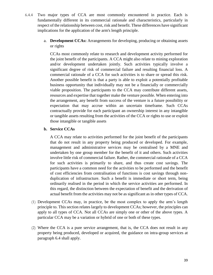- 6.4.4 Two major types of CCA are most commonly encountered in practice. Each is fundamentally different in its commercial rationale and characteristics, particularly in respect of the relationship between cost, risk and benefit. These differences have significant implications for the application of the arm's length principle.
	- a. **Development CCAs:** Arrangements for developing, producing or obtaining assets or rights

CCAs most commonly relate to research and development activity performed for the joint benefit of the participants. A CCA might also relate to mining exploration and/or development undertaken jointly. Such activities typically involve a significant degree of risk of commercial failure and resulting financial loss. A commercial rationale of a CCA for such activities is to share or spread this risk. Another possible benefit is that a party is able to exploit a potentially profitable business opportunity that individually may not be a financially or commercially viable proposition. The participants to the CCA may contribute different assets, resources and expertise that together make the venture possible. When entering into the arrangement, any benefit from success of the venture is a future possibility or expectation that may accrue within an uncertain timeframe. Such CCAs contractually provide for each participant an ownership interest in any intangible or tangible assets resulting from the activities of the CCA or rights to use or exploit those intangible or tangible assets

## **b. Service CCAs**

A CCA may relate to activities performed for the joint benefit of the participants that do not result in any property being produced or developed. For example, management and administrative services may be centralised by a MNE and undertaken by one group member for the benefit of it and others. Such activities involve little risk of commercial failure. Rather, the commercial rationale of a CCA for such activities is primarily to share, and thus create cost savings. The participants have a common need for the activities to be performed and the benefit of cost efficiencies from centralisation of functions is cost savings through nonduplication of infrastructure. Such a benefit is immediate or short term, being ordinarily realised in the period in which the service activities are performed. In this regard, the distinction between the expectation of benefit and the derivation of actual benefit from the activities may not be as significant as in other types of CCA.

- (1) Development CCAs may, in practice, be the most complex to apply the arm's length principle to. This section relates largely to development CCAs; however, the principles can apply to all types of CCA. Not all CCAs are simply one or other of the above types. A particular CCA may be a variation or hybrid of one or both of these types.
- (2) Where the CCA is a pure service arrangement, that is, the CCA does not result in any property being produced, developed or acquired, the guidance on intra-group services at paragraph 6.4 shall apply.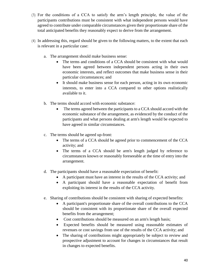- (3) For the conditions of a CCA to satisfy the arm's length principle, the value of the participants contributions must be consistent with what independent persons would have agreed to contribute under comparable circumstances given their proportionate share of the total anticipated benefits they reasonably expect to derive from the arrangement.
- (4) In addressing this, regard should be given to the following matters, to the extent that each is relevant in a particular case:
	- a. The arrangement should make business sense:
		- The terms and conditions of a CCA should be consistent with what would have been agreed between independent persons acting in their own economic interests, and reflect outcomes that make business sense in their particular circumstances; and
		- It should make business sense for each person, acting in its own economic interests, to enter into a CCA compared to other options realistically available to it.
	- b. The terms should accord with economic substance:
		- The terms agreed between the participants to a CCA should accord with the economic substance of the arrangement, as evidenced by the conduct of the participants and what persons dealing at arm's length would be expected to have agreed in similar circumstances.
	- c. The terms should be agreed up-front:
		- The terms of a CCA should be agreed prior to commencement of the CCA activity; and
		- The terms of a CCA should be arm's length judged by reference to circumstances known or reasonably foreseeable at the time of entry into the arrangement.
	- d. The participants should have a reasonable expectation of benefit:
		- A participant must have an interest in the results of the CCA activity; and
		- A participant should have a reasonable expectation of benefit from exploiting its interest in the results of the CCA activity.
	- e. Sharing of contributions should be consistent with sharing of expected benefits:
		- A participant's proportionate share of the overall contributions to the CCA should be consistent with its proportionate share of the overall expected benefits from the arrangement;
		- Cost contributions should be measured on an arm's length basis;
		- Expected benefits should be measured using reasonable estimates of revenues or cost savings from use of the results of the CCA activity; and
		- The sharing of contributions might appropriately be subject to review and prospective adjustment to account for changes in circumstances that result in changes to expected benefits.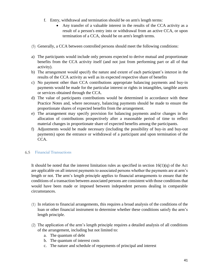- f. Entry, withdrawal and termination should be on arm's length terms:
	- Any transfer of a valuable interest in the results of the CCA activity as a result of a person's entry into or withdrawal from an active CCA, or upon termination of a CCA, should be on arm's length terms.
- (5) Generally, a CCA between controlled persons should meet the following conditions:
- a) The participants would include only persons expected to derive mutual and proportionate benefits from the CCA activity itself (and not just from performing part or all of that activity).
- b) The arrangement would specify the nature and extent of each participant's interest in the results of the CCA activity as well as its expected respective share of benefits
- c) No payment other than CCA contributions appropriate balancing payments and buy-in payments would be made for the particular interest or rights in intangibles, tangible assets or services obtained through the CCA.
- d) The value of participants contributions would be determined in accordance with these Practice Notes and, where necessary, balancing payments should be made to ensure the proportionate shares of expected benefits from the arrangement.
- e) The arrangement may specify provision for balancing payments and/or changes in the allocation of contributions prospectively after a reasonable period of time to reflect material changes in proportionate share of expected benefits among the participants.
- f) Adjustments would be made necessary (including the possibility of buy-in and buy-out payments) upon the entrance or withdrawal of a participant and upon termination of the CCA.

#### <span id="page-41-0"></span>Financial Transactions 6.5

It should be noted that the interest limitation rules as specified in section  $16(1)(q)$  of the Act are applicable on all interest payments to associated persons whether the payments are at arm's length or not. The arm's length principle applies to financial arrangements to ensure that the conditions of a transaction between associated persons are consistent with those conditions that would have been made or imposed between independent persons dealing in comparable circumstances.

- (1) In relation to financial arrangements, this requires a broad analysis of the conditions of the loan or other financial instrument to determine whether these conditions satisfy the arm's length principle.
- (2) The application of the arm's length principle requires a detailed analysis of all conditions of the arrangement, including but not limited to:
	- a. The quantum of debt
	- b. The quantum of interest costs
	- c. The nature and schedule of repayments of principal and interest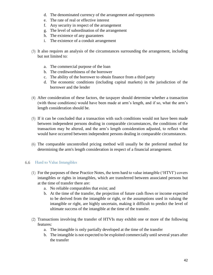- d. The denominated currency of the arrangement and repayments
- e. The rate of real or effective interest
- f. Any security in respect of the arrangement
- g. The level of subordination of the arrangement
- h. The existence of any guarantees
- i. The existence of a conduit arrangement
- (3) It also requires an analysis of the circumstances surrounding the arrangement, including but not limited to:
	- a. The commercial purpose of the loan
	- b. The creditworthiness of the borrower
	- c. The ability of the borrower to obtain finance from a third party
	- d. The economic conditions (including capital markets) in the jurisdiction of the borrower and the lender
- (4) After consideration of these factors, the taxpayer should determine whether a transaction (with those conditions) would have been made at arm's length, and if so, what the arm's length consideration should be.
- (5) If it can be concluded that a transaction with such conditions would not have been made between independent persons dealing in comparable circumstances, the conditions of the transaction may be altered, and the arm's length consideration adjusted, to reflect what would have occurred between independent persons dealing in comparable circumstances.
- (6) The comparable uncontrolled pricing method will usually be the preferred method for determining the arm's length consideration in respect of a financial arrangement.

## <span id="page-42-0"></span>Hard to Value Intangibles

- (1) For the purposes of these Practice Notes, the term hard to value intangible ('HTVI') covers intangibles or rights in intangibles, which are transferred between associated persons but at the time of transfer there are:
	- a. No reliable comparables that exist; and
	- b. At the time of the transfer, the projection of future cash flows or income expected to be derived from the intangible or right, or the assumptions used in valuing the intangible or right, are highly uncertain, making it difficult to predict the level of ultimate success of the intangible at the time of the transfer.
- (2) Transactions involving the transfer of HTVIs may exhibit one or more of the following features:
	- a. The intangible is only partially developed at the time of the transfer
	- b. The intangible is not expected to be exploited commercially until several years after the transfer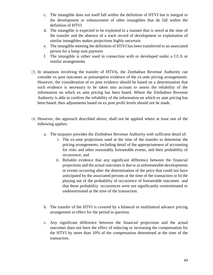- c. The intangible does not itself fall within the definition of HTVI but is integral to the development or enhancement of other intangibles that do fall within the definition of HTVI
- d. The intangible is expected to be exploited in a manner that is novel at the time of the transfer and the absence of a track record of development or exploitation of similar intangibles makes projections highly uncertain
- e. The intangible meeting the definition of HTVI has been transferred to an associated person for a lump sum payment
- f. The intangible is either used in connection with or developed under a CCA or similar arrangements
- (3) In situations involving the transfer of HTVIs, the Zimbabwe Revenue Authority can consider ex post outcomes as presumptive evidence of the ex-ante pricing arrangements. However, the consideration of ex post evidence should be based on a determination that such evidence is necessary to be taken into account to assess the reliability of the information on which ex ante pricing has been based. Where the Zimbabwe Revenue Authority is able to confirm the reliability of the information on which ex ante pricing has been based, then adjustments based on ex post profit levels should not be made.
- (4) However, the approach described above, shall not be applied where at least one of the following applies:
	- a. The taxpayer provides the Zimbabwe Revenue Authority with sufficient detail of:
		- i. The ex-ante projections used at the time of the transfer to determine the pricing arrangements, including detail of the appropriateness of accounting for risks and other reasonably foreseeable events, and their probability of occurrence; and
		- ii. Reliable evidence that any significant difference between the financial projections and the actual outcomes is due to a) unforeseeable developments or events occurring after the determination of the price that could not have anticipated by the associated persons at the time of the transaction or b) the playing out of the probability of occurrence of foreseeable outcomes and that these probability occurrences were not significantly overestimated or underestimated at the time of the transaction.
	- b. The transfer of the HTVI is covered by a bilateral or multilateral advance pricing arrangement in effect for the period in question.
	- c. Any significant difference between the financial projections and the actual outcomes does not have the effect of reducing or increasing the compensation for the HTVI by more than 10% of the compensation determined at the time of the transaction.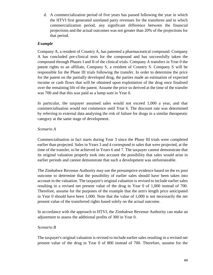d. A commercialization period of five years has passed following the year in which the HTVI first generated unrelated party revenues for the transferee and in which commercialization period, any significant difference between the financial projections and the actual outcomes was not greater than 20% of the projections for that period.

## *Example*

Company A, a resident of Country A, has patented a pharmaceutical compound. Company A has concluded pre-clinical tests for the compound and has successfully taken the compound through Phases I and II of the clinical trials. Company A transfers in Year 0 the patent rights to an affiliate, Company S, a resident of Country S. Company S will be responsible for the Phase III trials following the transfer. In order to determine the price for the patent on the partially developed drug, the parties made an estimation of expected income or cash flows that will be obtained upon exploitation of the drug once finalised over the remaining life of the patent. Assume the price so derived at the time of the transfer was 700 and that this was paid as a lump sum in Year 0.

In particular, the taxpayer assumed sales would not exceed 1,000 a year, and that commercialisation would not commence until Year 6. The discount rate was determined by referring to external data analysing the risk of failure for drugs in a similar therapeutic category at the same stage of development.

## *Scenario A*

Commercialisation in fact starts during Year 3 since the Phase III trials were completed earlier than projected. Sales in Years 3 and 4 correspond to sales that were projected, at the time of the transfer, to be achieved in Years 6 and 7. The taxpayer cannot demonstrate that its original valuation properly took into account the possibility that sales would arise in earlier periods and cannot demonstrate that such a development was unforeseeable.

The Zimbabwe Revenue Authority may use the presumptive evidence based on the ex post outcome to determine that the possibility of earlier sales should have been taken into account in the valuation. The taxpayer's original valuation is revised to include earlier sales resulting in a revised net present value of the drug in Year 0 of 1,000 instead of 700. Therefore, assume for the purposes of the example that the arm's length price anticipated in Year 0 should have been 1,000. Note that the value of 1,000 is not necessarily the net present value of the transferred rights based solely on the actual outcome.

In accordance with the approach to HTVI, the Zimbabwe Revenue Authority can make an adjustment to assess the additional profits of 300 in Year 0.

## *Scenario B*

The taxpayer's original valuation is revised to include earlier sales resulting in a revised net present value of the drug in Year 0 of 800 instead of 700. Therefore, assume for the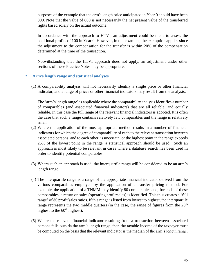purposes of the example that the arm's length price anticipated in Year 0 should have been 800. Note that the value of 800 is not necessarily the net present value of the transferred rights based solely on the actual outcome.

In accordance with the approach to HTVI, an adjustment could be made to assess the additional profits of 100 in Year 0. However, in this example, the exemption applies since the adjustment to the compensation for the transfer is within 20% of the compensation determined at the time of the transaction.

Notwithstanding that the HTVI approach does not apply, an adjustment under other sections of these Practice Notes may be appropriate.

### <span id="page-45-0"></span>**7 Arm's length range and statistical analyses**

(1) A comparability analysis will not necessarily identify a single price or other financial indicator, and a range of prices or other financial indicators may result from the analysis.

The 'arm's length range' is applicable where the comparability analysis identifies a number of comparables (and associated financial indicators) that are all reliable, and equally reliable. In this case the full range of the relevant financial indicators is adopted. It is often the case that such a range contains relatively few comparables and the range is relatively small.

- (2) Where the application of the most appropriate method results in a number of financial indicators for which the degree of comparability of each to the relevant transaction between associated persons, and to each other, is uncertain, or the highest point in the range exceeds 25% of the lowest point in the range, a statistical approach should be used. Such an approach is most likely to be relevant in cases where a database search has been used in order to identify potential comparables.
- (3) Where such an approach is used, the interquartile range will be considered to be an arm's length range.
- (4) The interquartile range is a range of the appropriate financial indicator derived from the various comparables employed by the application of a transfer pricing method. For example, the application of a TNMM may identify 80 comparables and, for each of these comparables, a return on sales (operating profit/sales) is identified. This thus creates a 'full range' of 80 profit/sales ratios. If this range is listed from lowest to highest, the interquartile range represents the two middle quarters (in the case, the range of figures from the  $20<sup>th</sup>$ highest to the  $60<sup>th</sup>$  highest).
- (5) Where the relevant financial indicator resulting from a transaction between associated persons falls outside the arm's length range, then the taxable income of the taxpayer must be computed on the basis that the relevant indicator is the median of the arm's length range.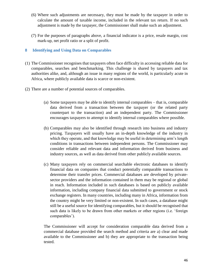- (6) Where such adjustments are necessary, they must be made by the taxpayer in order to calculate the amount of taxable income, included in the relevant tax return. If no such adjustment is made by the taxpayer, the Commissioner shall make such an adjustment.
- (7) For the purposes of paragraphs above, a financial indicator is a price, resale margin, cost mark-up, net profit ratio or a split of profit.

## <span id="page-46-0"></span>**8 Identifying and Using Data on Comparables**

- (1) The Commissioner recognises that taxpayers often face difficulty in accessing reliable data for comparables, searches and benchmarking. This challenge is shared by taxpayers and tax authorities alike, and, although an issue in many regions of the world, is particularly acute in Africa, where publicly available data is scarce or non-existent.
- (2) There are a number of potential sources of comparables.
	- (a) Some taxpayers may be able to identify internal comparables that is, comparable data derived from a transaction between the taxpayer (or the related party counterpart to the transaction) and an independent party. The Commissioner encourages taxpayers to attempt to identify internal comparables where possible.
	- (b) Comparables may also be identified through research into business and industry pricing. Taxpayers will usually have an in-depth knowledge of the industry in which they operate, and that knowledge may be useful in determining arm's length conditions in transactions between independent persons. The Commissioner may consider reliable and relevant data and information derived from business and industry sources, as well as data derived from other publicly available sources.
	- (c) Many taxpayers rely on commercial searchable electronic databases to identify financial data on companies that conduct potentially comparable transactions to determine their transfer prices. Commercial databases are developed by privatesector providers and the information contained in them may be regional or global in reach. Information included in such databases is based on publicly available information, including company financial data submitted to government or stock exchange registers. In many countries, including many in Africa, information from the country might be very limited or non-existent. In such cases, a database might still be a useful source for identifying comparables, but it should be recognised that such data is likely to be drawn from other markets or other regions (i.e. 'foreign comparables').

The Commissioner will accept for consideration comparable data derived from a commercial database provided the search method and criteria are a) clear and made available to the Commissioner and b) they are appropriate to the transaction being tested.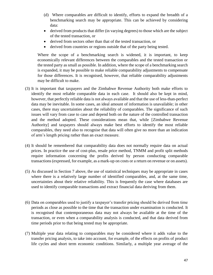- (d) Where comparables are difficult to identify, efforts to expand the breadth of a benchmarking search may be appropriate. This can be achieved by considering data:
- derived from products that differ (in varying degrees) to those which are the subject of the tested transaction, or
- derived from sectors other than that of the tested transaction, or
- derived from countries or regions outside that of the party being tested.

Where the scope of a benchmarking search is widened, it is important, to keep economically relevant differences between the comparables and the tested transaction or the tested party as small as possible. In addition, where the scope of a benchmarking search is expanded, it may be possible to make reliable comparability adjustments to compensate for those differences. It is recognised, however, that reliable comparability adjustments may be difficult to make.

- (3) It is important that taxpayers and the Zimbabwe Revenue Authority both make efforts to identify the most reliable comparable data in each case. It should also be kept in mind, however, that perfectly reliable data is not always available and that the use of less-than-perfect data may be inevitable. In some cases, an ideal amount of information is unavailable; in other cases, there may uncertainties about the reliability of comparables. The significance of such issues will vary from case to case and depend both on the nature of the controlled transaction and the method adopted. These considerations mean that, while [Zimbabwe Revenue Authority] and taxpayers should always make best efforts to identify the most reliable comparables, they need also to recognise that data will often give no more than an indication of arm's length pricing rather than an exact measure.
- (4) It should be remembered that comparability data does not normally require data on actual prices. In practice the use of cost-plus, resale price method, TNMM and profit split methods require information concerning the profits derived by person conducting comparable transactions (expressed, for example, as a mark-up on costs or a return on revenue or on assets).
- (5) As discussed in Section 7 above, the use of statistical techniques may be appropriate in cases where there is a relatively large number of identified comparables, and, at the same time, uncertainties about their relative reliability. This is frequently the case where databases are used to identify comparable transactions and extract financial data deriving from them.
- (6) Data on comparables used to justify a taxpayer's transfer pricing should be derived from time periods as close as possible to the time that the transaction under examination is conducted. It is recognised that contemporaneous data may not always be available at the time of the transaction, or even when a comparability analysis is conducted, and that data derived from time periods prior to that being tested may be appropriate.
- (7) Multiple year data relating to comparables may be considered where it adds value to the transfer pricing analysis, to take into account, for example, of the effects on profits of product life cycles and short term economic conditions. Similarly, a multiple year average of the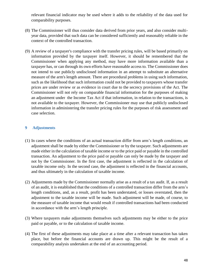relevant financial indicator may be used where it adds to the reliability of the data used for comparability purposes.

- (8) The Commissioner will thus consider data derived from prior years, and also consider multiyear data, provided that such data can be considered sufficiently and reasonably reliable in the context of the controlled transaction.
- (9) A review of a taxpayer's compliance with the transfer pricing rules, will be based primarily on information provided by the taxpayer itself. However, it should be remembered that the Commissioner when applying any method, may have more information available than a taxpayer has, or can through its own efforts have reasonable access to. The Commissioner does not intend to use publicly undisclosed information in an attempt to substitute an alternative measure of the arm's length amount. There are procedural problems in using such information, such as the likelihood that such information could not be provided to taxpayers whose transfer prices are under review or as evidence in court due to the secrecy provisions of the Act. The Commissioner will not rely on comparable financial information for the purposes of making an adjustment under the Income Tax Act if that information, in relation to the transactions, is not available to the taxpayer. However, the Commissioner may use that publicly undisclosed information in administering the transfer pricing rules for the purposes of risk assessment and case selection.

## <span id="page-48-0"></span>**9 Adjustments**

- (1) In cases where the conditions of an actual transaction differ from arm's length conditions, an adjustment shall be made by either the Commissioner or by the taxpayer. Such adjustments are made either in the calculation of taxable income or to the price paid or payable in the controlled transaction. An adjustment to the price paid or payable can only be made by the taxpayer and not by the Commissioner. In the first case, the adjustment is reflected in the calculation of taxable income only. In the second case, the adjustment is reflected in the financial accounts, and thus ultimately in the calculation of taxable income.
- (2) Adjustments made by the Commissioner normally arise as a result of a tax audit. If, as a result of an audit, it is established that the conditions of a controlled transaction differ from the arm's length conditions, and, as a result, profit has been understated, or losses overstated, then the adjustment to the taxable income will be made. Such adjustment will be made, of course, to the measure of taxable income that would result if controlled transactions had been conducted in accordance with the arm's length principle.
- (3) Where taxpayers make adjustments themselves such adjustments may be either to the price paid or payable, or to the calculation of taxable income.
- (4) The first of these adjustments may take place at a time after a relevant transaction has taken place, but before the financial accounts are drawn up. This might be the result of a comparability analysis undertaken at the end of an accounting period.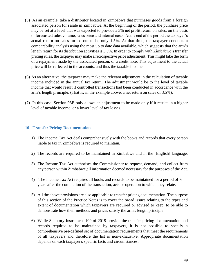- (5) As an example, take a distributor located in Zimbabwe that purchases goods from a foreign associated person for resale in Zimbabwe. At the beginning of the period, the purchase price may be set at a level that was expected to provide a 3% net profit return on sales, on the basis of forecasted sales volume, sales price and internal costs. At the end of the period the taxpayer's actual return on sales turned out to be only 1.5%. At that time, the taxpayer conducts a comparability analysis using the most up to date data available, which suggests that the arm's length return for its distribution activities is 3.5%. In order to comply with Zimbabwe's transfer pricing rules, the taxpayer may make a retrospective price adjustment. This might take the form of a repayment made by the associated person, or a credit note. This adjustment to the actual price will be reflected in the accounts, and thus the taxable income.
- (6) As an alternative, the taxpayer may make the relevant adjustment in the calculation of taxable income included in the annual tax return. The adjustment would be to the level of taxable income that would result if controlled transactions had been conducted in accordance with the arm's length principle. (That is, in the example above, a net return on sales of 3.5%).
- (7) In this case, Section 98B only allows an adjustment to be made only if it results in a higher level of taxable income, or a lower level of tax losses.

### <span id="page-49-0"></span>**10 Transfer Pricing Documentation**

- 1) The Income Tax Act deals comprehensively with the books and records that every person liable to tax in Zimbabwe is required to maintain.
- 2) The records are required to be maintained in Zimbabwe and in the [English] language.
- 3) The Income Tax Act authorises the Commissioner to request, demand, and collect from any person within Zimbabwe,all information deemed necessary for the purposes of the Act.
- 4) The Income Tax Act requires all books and records to be maintained for a period of 6 years after the completion of the transaction, acts or operation to which they relate.
- 5) All the above provisions are also applicable to transfer pricing documentation. The purpose of this section of the Practice Notes is to cover the broad issues relating to the types and extent of documentation which taxpayers are required or advised to keep, to be able to demonstrate how their methods and prices satisfy the arm's length principle.
- 6) While Statutory Instrument 109 of 2019 provide the transfer pricing documentation and records required to be maintained by taxpayers, it is not possible to specify a comprehensive pre-defined set of documentation requirements that meet the requirements of all taxpayers and therefore the list is non-exhaustive. Appropriate documentation depends on each taxpayer's specific facts and circumstances.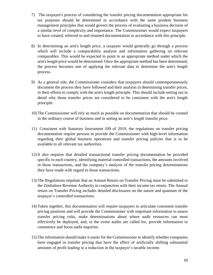- 7) The taxpayer's process of considering the transfer pricing documentation appropriate for tax purposes should be determined in accordance with the same prudent business management principles that would govern the process of evaluating a business decision of a similar level of complexity and importance. The Commissioner would expect taxpayers to have created, referred to and retained documentation in accordance with this principle.
- 8) In determining an arm's length price, a taxpayer would generally go through a process which will include a comparability analysis and information gathering on relevant comparables. This would be expected to point to an appropriate method under which the arm's length price would be determined. Once the appropriate method has been determined, the process becomes one of applying the relevant data to determine the arm's length process.
- 9) As a general rule, the Commissioner considers that taxpayers should contemporaneously document the process they have followed and their analysis in determining transfer prices, in their efforts to comply with the arm's length principle. This should include setting out in detail why those transfer prices are considered to be consistent with the arm's length principle.
- 10) The Commissioner will rely as much as possible on documentation that should be created in the ordinary course of business and in setting an arm's length transfer price.
- 11) Consistent with Statutory Instrument 109 of 2019, the regulations on transfer pricing documentation require persons to provide the Commissioner with high-level information regarding their global business operations and transfer pricing policies that is to be available to all relevant tax authorities.
- 12) It also requires that detailed transactional transfer pricing documentation be provided specific to each country, identifying material controlled transactions, the amounts involved in those transactions, and the company's analysis of the transfer pricing determinations they have made with regard to those transactions.
- 13) The Regulations stipulate that an Annual Return on Transfer Pricing must be submitted to the Zimbabwe Revenue Authority in conjunction with their income tax return. The Annual return on Transfer Pricing includes detailed disclosures on the nature and quantum of the taxpayer's controlled transactions.
- 14) Taken together, this documentation will require taxpayers to articulate consistent transfer pricing positions and will provide the Commissioner with important information to assess transfer pricing risks, make determinations about where audit resources can most effectively be deployed, and, in the event audits are called for, provide information to commence and focus audit inquiries.
- 15) The information should make it easier for the Commissioner to identify whether companies have engaged in transfer pricing that have the effect of artificially shifting substantial amounts of profit leading to a reduction in the taxpayer's taxable income.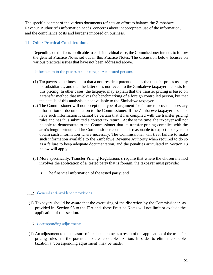The specific content of the various documents reflects an effort to balance the Zimbabwe Revenue Authority's information needs, concerns about inappropriate use of the information, and the compliance costs and burdens imposed on business.

## <span id="page-51-0"></span>**11 Other Practical Considerations**

Depending on the facts applicable to each individual case, the Commissioner intends to follow the general Practice Notes set out in this Practice Notes. The discussion below focuses on various practical issues that have not been addressed above.

## <span id="page-51-1"></span>11.1 Information in the possession of foreign Associated persons

- (1) Taxpayers sometimes claim that a non-resident parent dictates the transfer prices used by its subsidiaries, and that the latter does not reveal to the Zimbabwe taxpayer the basis for this pricing. In other cases, the taxpayer may explain that the transfer pricing is based on a transfer method that involves the benchmarking of a foreign controlled person, but that the details of this analysis is not available to the Zimbabwe taxpayer.
- (2) The Commissioner will not accept this type of argument for failure to provide necessary information or documentation to the Commissioner. If the Zimbabwe taxpayer does not have such information it cannot be certain that it has complied with the transfer pricing rules and has thus submitted a correct tax return. At the same time, the taxpayer will not be able to demonstrate to the Commissioner that its transfer pricing complies with the arm's length principle. The Commissioner considers it reasonable to expect taxpayers to obtain such information where necessary. The Commissioner will treat failure to make such information available to the Zimbabwe Revenue Authority when required to do so as a failure to keep adequate documentation, and the penalties articulated in Section 13 below will apply.
- (3) More specifically, Transfer Pricing Regulations s require that where the chosen method involves the application of a tested party that is foreign, the taxpayer must provide:
	- The financial information of the tested party; and

## <span id="page-51-2"></span>11.2 General anti-avoidance provisions

(1) Taxpayers should be aware that the exercising of the discretion by the Commissioner as provided in Section 98 to the ITA and these Practice Notes will not limit or exclude the application of this section.

## <span id="page-51-3"></span>11.3 Corresponding adjustments

(1) An adjustment to the measure of taxable income as a result of the application of the transfer pricing rules has the potential to create double taxation. In order to eliminate double taxation a 'corresponding adjustment' may be made.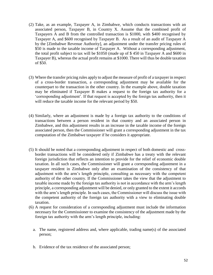- (2) Take, as an example, Taxpayer A, in Zimbabwe, which conducts transactions with an associated person, Taxpayer B, in Country X. Assume that the combined profit of Taxpayers A and B from the controlled transaction is \$1000, with \$400 recognised by Taxpayer A, and \$600 recognised by Taxpayer B. As a result of an audit of Taxpayer A by the [Zimbabwe Revenue Authority], an adjustment under the transfer pricing rules of \$50 is made to the taxable income of Taxpayer A. Without a corresponding adjustment, the total profit subject to tax will be \$1050 (made up of \$ 450 in Taxpayer A and \$600 in Taxpayer B), whereas the actual profit remains at \$1000. There will thus be double taxation of \$50.
- (3) Where the transfer pricing rules apply to adjust the measure of profit of a taxpayer in respect of a cross-border transaction, a corresponding adjustment may be available for the counterpart to the transaction in the other country. In the example above, double taxation may be eliminated if Taxpayer B makes a request to the foreign tax authority for a 'corresponding adjustment'. If that request is accepted by the foreign tax authority, then it will reduce the taxable income for the relevant period by \$50.
- (4) Similarly, where an adjustment is made by a foreign tax authority to the conditions of transactions between a person resident in that country and an associated person in Zimbabwe, and this adjustment results in an increase in the taxable income of the foreign associated person, then the Commissioner will grant a corresponding adjustment in the tax computation of the Zimbabwe taxpayer if he considers it appropriate.
- (5) It should be noted that a corresponding adjustment in respect of both domestic and crossborder transactions will be considered only if Zimbabwe has a treaty with the relevant foreign jurisdiction that reflects an intention to provide for the relief of economic double taxation. In all such cases, the Commissioner will grant a corresponding adjustment in a taxpayer resident in Zimbabwe only after an examination of the consistency of that adjustment with the arm's length principle, consulting as necessary with the competent authority of the other country. If the Commissioner takes the view that the adjustment to taxable income made by the foreign tax authority is not in accordance with the arm's length principle, a corresponding adjustment will be denied, or only granted to the extent it accords with the arm's length principle. In such cases, the Commissioner will discuss the issue with the competent authority of the foreign tax authority with a view to eliminating double taxation.
- (6) A request for consideration of a corresponding adjustment must include the information necessary for the Commissioner to examine the consistency of the adjustment made by the foreign tax authority with the arm's length principle, including:
	- a. The name, registered address and, where applicable, trading name(s) of the associated person;
	- b. Evidence of the tax residence of the associated person;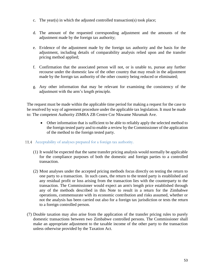- c. The year(s) in which the adjusted controlled transaction(s) took place;
- d. The amount of the requested corresponding adjustment and the amounts of the adjustment made by the foreign tax authority;
- e. Evidence of the adjustment made by the foreign tax authority and the basis for the adjustment, including details of comparability analysis relied upon and the transfer pricing method applied;
- f. Confirmation that the associated person will not, or is unable to, pursue any further recourse under the domestic law of the other country that may result in the adjustment made by the foreign tax authority of the other country being reduced or eliminated;
- g. Any other information that may be relevant for examining the consistency of the adjustment with the arm's length principle.

The request must be made within the applicable time period for making a request for the case to be resolved by way of agreement procedure under the applicable tax legislation. It must be made to: The competent Authority ZIMRA ZB Centre Cnr Nkwame Nkrumah Ave.

- Other information that is sufficient to be able to reliably apply the selected method to the foreign tested party and to enable a review by the Commissioner of the application of the method to the foreign tested party.
- <span id="page-53-0"></span>Acceptability of analyses prepared for a foreign tax authority.
	- (1) It would be expected that the same transfer pricing analysis would normally be applicable for the compliance purposes of both the domestic and foreign parties to a controlled transaction.
	- (2) Most analyses under the accepted pricing methods focus directly on testing the return to one party to a transaction. In such cases, the return to the tested party is established and any residual profit or loss arising from the transaction lies with the counterparty to the transaction. The Commissioner would expect an arm's length price established through any of the methods described in this Note to result in a return for the Zimbabwe operations, commensurate with its economic contribution and risks assumed, whether or not the analysis has been carried out also for a foreign tax jurisdiction or tests the return to a foreign controlled person.
- (7) Double taxation may also arise from the application of the transfer pricing rules to purely domestic transactions between two Zimbabwe controlled persons. The Commissioner shall make an appropriate adjustment to the taxable income of the other party to the transaction unless otherwise provided by the Taxation Act.